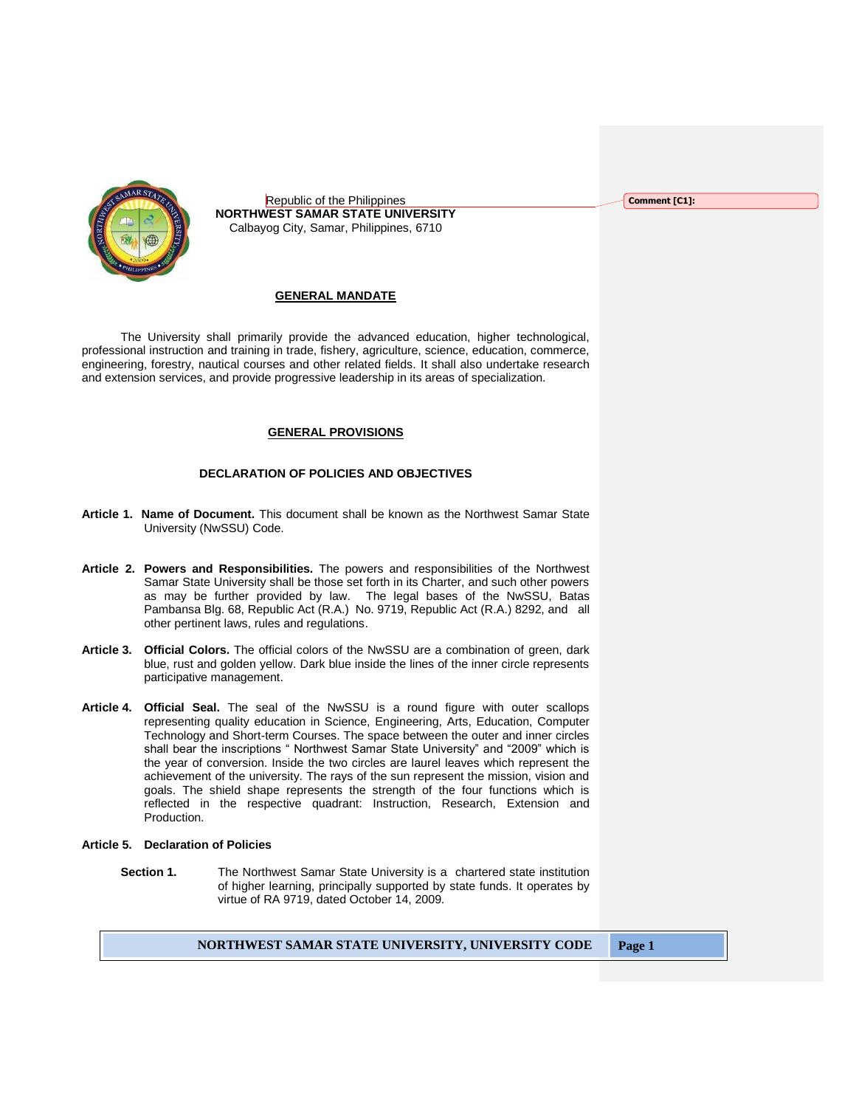Republic of the Philippines **NORTHWEST SAMAR STATE UNIVERSITY** Calbayog City, Samar, Philippines, 6710

## **GENERAL MANDATE**

The University shall primarily provide the advanced education, higher technological, professional instruction and training in trade, fishery, agriculture, science, education, commerce, engineering, forestry, nautical courses and other related fields. It shall also undertake research and extension services, and provide progressive leadership in its areas of specialization.

## **GENERAL PROVISIONS**

## **DECLARATION OF POLICIES AND OBJECTIVES**

- **Article 1. Name of Document.** This document shall be known as the Northwest Samar State University (NwSSU) Code.
- **Article 2. Powers and Responsibilities.** The powers and responsibilities of the Northwest Samar State University shall be those set forth in its Charter, and such other powers as may be further provided by law. The legal bases of the NwSSU, Batas Pambansa Blg. 68, Republic Act (R.A.) No. 9719, Republic Act (R.A.) 8292, and all other pertinent laws, rules and regulations.
- **Article 3. Official Colors.** The official colors of the NwSSU are a combination of green, dark blue, rust and golden yellow. Dark blue inside the lines of the inner circle represents participative management.
- **Article 4. Official Seal.** The seal of the NwSSU is a round figure with outer scallops representing quality education in Science, Engineering, Arts, Education, Computer Technology and Short-term Courses. The space between the outer and inner circles shall bear the inscriptions " Northwest Samar State University" and "2009" which is the year of conversion. Inside the two circles are laurel leaves which represent the achievement of the university. The rays of the sun represent the mission, vision and goals. The shield shape represents the strength of the four functions which is reflected in the respective quadrant: Instruction, Research, Extension and Production.

#### **Article 5. Declaration of Policies**

**Section 1.** The Northwest Samar State University is a chartered state institution of higher learning, principally supported by state funds. It operates by virtue of RA 9719, dated October 14, 2009.

## **NORTHWEST SAMAR STATE UNIVERSITY, UNIVERSITY CODE Page 1**

**Comment [C1]:**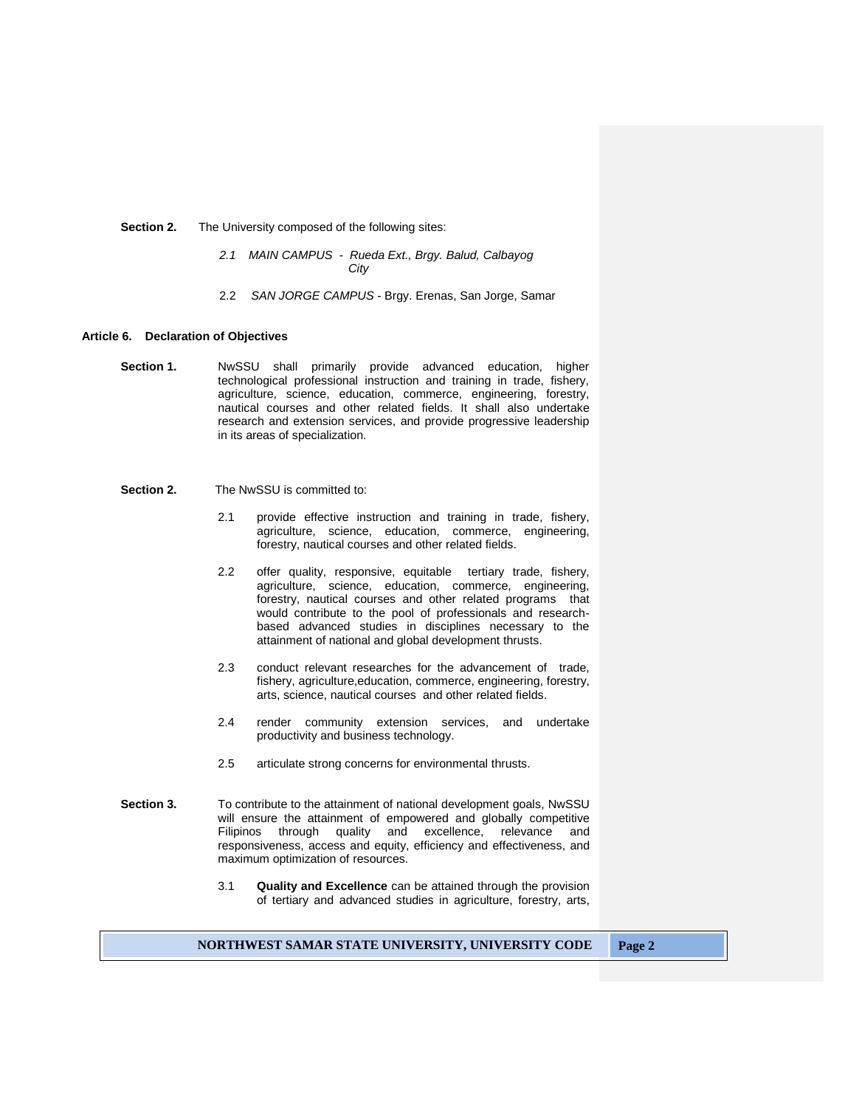#### **Section 2.** The University composed of the following sites:

- *2.1 MAIN CAMPUS Rueda Ext., Brgy. Balud, Calbayog City*
- 2.2 *SAN JORGE CAMPUS* Brgy. Erenas, San Jorge, Samar

#### **Article 6. Declaration of Objectives**

**Section 1.** NwSSU shall primarily provide advanced education, higher technological professional instruction and training in trade, fishery, agriculture, science, education, commerce, engineering, forestry, nautical courses and other related fields. It shall also undertake research and extension services, and provide progressive leadership in its areas of specialization.

# **Section 2.** The NwSSU is committed to:

- 2.1 provide effective instruction and training in trade, fishery, agriculture, science, education, commerce, engineering, forestry, nautical courses and other related fields.
- 2.2 offer quality, responsive, equitable tertiary trade, fishery, agriculture, science, education, commerce, engineering, forestry, nautical courses and other related programs that would contribute to the pool of professionals and researchbased advanced studies in disciplines necessary to the attainment of national and global development thrusts.
- 2.3 conduct relevant researches for the advancement of trade, fishery, agriculture,education, commerce, engineering, forestry, arts, science, nautical courses and other related fields.
- 2.4 render community extension services, and undertake productivity and business technology.
- 2.5 articulate strong concerns for environmental thrusts.
- **Section 3.** To contribute to the attainment of national development goals, NwSSU will ensure the attainment of empowered and globally competitive Filipinos through quality and excellence, relevance and responsiveness, access and equity, efficiency and effectiveness, and maximum optimization of resources.
	- 3.1 **Quality and Excellence** can be attained through the provision of tertiary and advanced studies in agriculture, forestry, arts,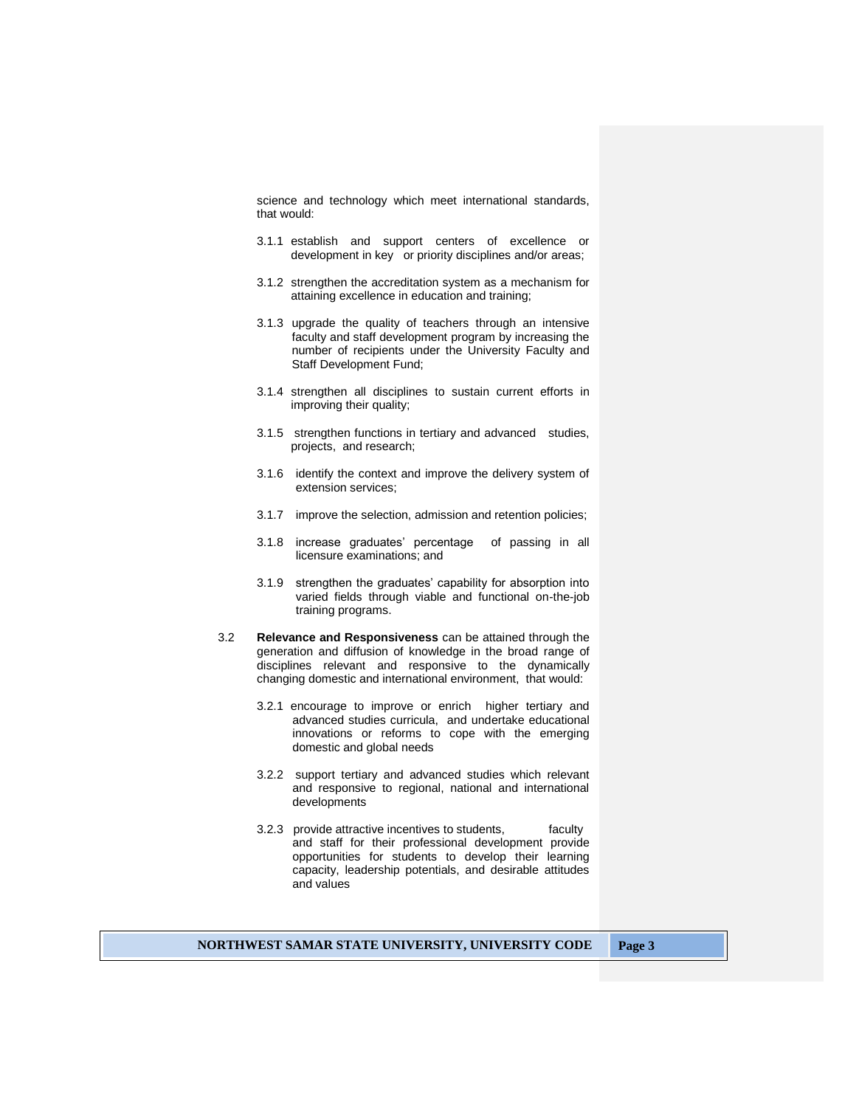science and technology which meet international standards, that would:

- 3.1.1 establish and support centers of excellence or development in key or priority disciplines and/or areas;
- 3.1.2 strengthen the accreditation system as a mechanism for attaining excellence in education and training;
- 3.1.3 upgrade the quality of teachers through an intensive faculty and staff development program by increasing the number of recipients under the University Faculty and Staff Development Fund;
- 3.1.4 strengthen all disciplines to sustain current efforts in improving their quality;
- 3.1.5 strengthen functions in tertiary and advanced studies, projects, and research;
- 3.1.6 identify the context and improve the delivery system of extension services;
- 3.1.7 improve the selection, admission and retention policies;
- 3.1.8 increase graduates' percentage of passing in all licensure examinations; and
- 3.1.9 strengthen the graduates' capability for absorption into varied fields through viable and functional on-the-job training programs.
- 3.2 **Relevance and Responsiveness** can be attained through the generation and diffusion of knowledge in the broad range of disciplines relevant and responsive to the dynamically changing domestic and international environment, that would:
	- 3.2.1 encourage to improve or enrich higher tertiary and advanced studies curricula, and undertake educational innovations or reforms to cope with the emerging domestic and global needs
	- 3.2.2 support tertiary and advanced studies which relevant and responsive to regional, national and international developments
	- 3.2.3 provide attractive incentives to students, faculty and staff for their professional development provide opportunities for students to develop their learning capacity, leadership potentials, and desirable attitudes and values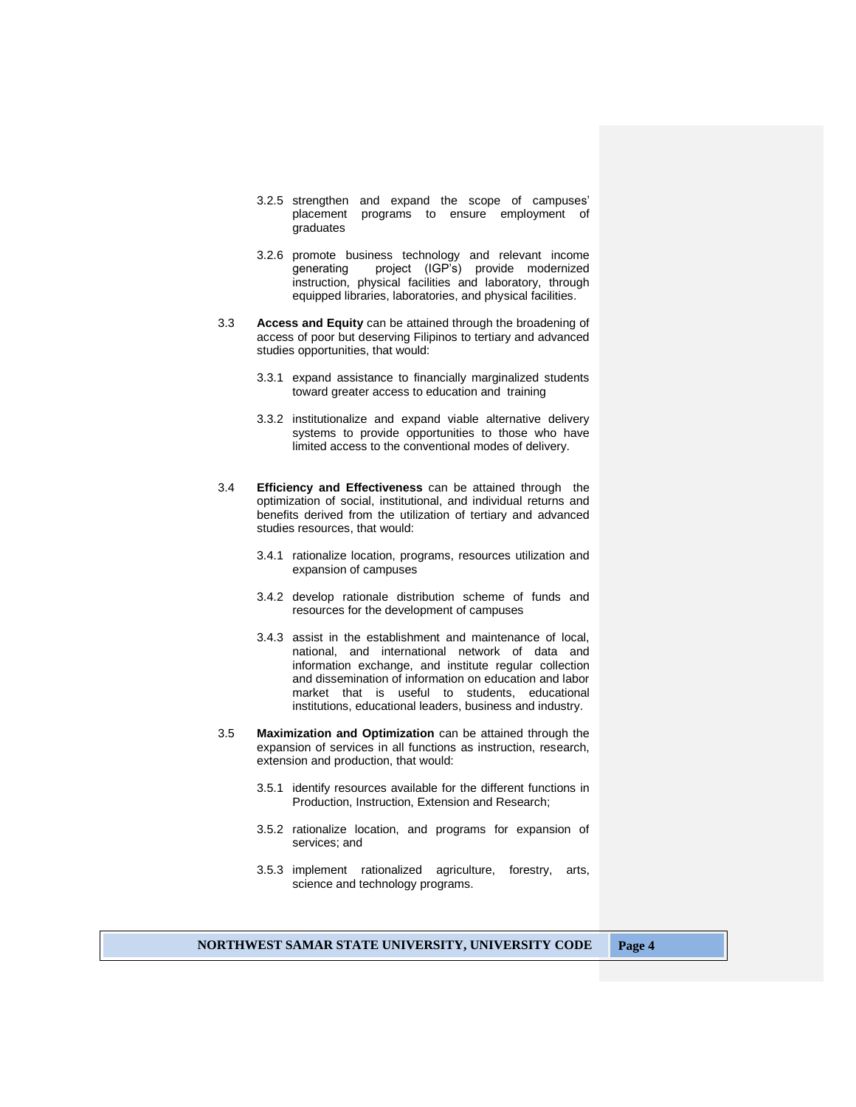- 3.2.5 strengthen and expand the scope of campuses' placement programs to ensure employment of graduates
- 3.2.6 promote business technology and relevant income generating project (IGP's) provide modernized instruction, physical facilities and laboratory, through equipped libraries, laboratories, and physical facilities.
- 3.3 **Access and Equity** can be attained through the broadening of access of poor but deserving Filipinos to tertiary and advanced studies opportunities, that would:
	- 3.3.1 expand assistance to financially marginalized students toward greater access to education and training
	- 3.3.2 institutionalize and expand viable alternative delivery systems to provide opportunities to those who have limited access to the conventional modes of delivery.
- 3.4 **Efficiency and Effectiveness** can be attained through the optimization of social, institutional, and individual returns and benefits derived from the utilization of tertiary and advanced studies resources, that would:
	- 3.4.1 rationalize location, programs, resources utilization and expansion of campuses
	- 3.4.2 develop rationale distribution scheme of funds and resources for the development of campuses
	- 3.4.3 assist in the establishment and maintenance of local, national, and international network of data and information exchange, and institute regular collection and dissemination of information on education and labor market that is useful to students, educational institutions, educational leaders, business and industry.
- 3.5 **Maximization and Optimization** can be attained through the expansion of services in all functions as instruction, research, extension and production, that would:
	- 3.5.1 identify resources available for the different functions in Production, Instruction, Extension and Research;
	- 3.5.2 rationalize location, and programs for expansion of services; and
	- 3.5.3 implement rationalized agriculture, forestry, arts, science and technology programs.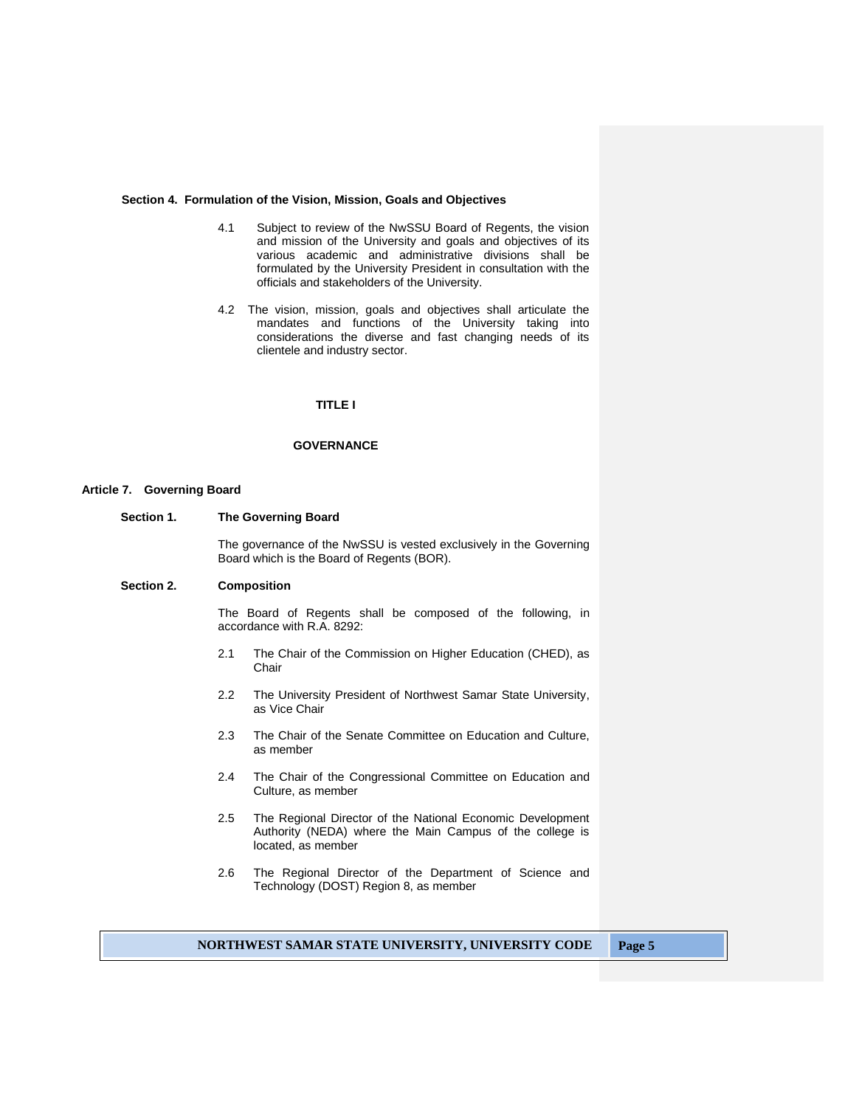#### **Section 4. Formulation of the Vision, Mission, Goals and Objectives**

- 4.1 Subject to review of the NwSSU Board of Regents, the vision and mission of the University and goals and objectives of its various academic and administrative divisions shall be formulated by the University President in consultation with the officials and stakeholders of the University.
- 4.2 The vision, mission, goals and objectives shall articulate the mandates and functions of the University taking into considerations the diverse and fast changing needs of its clientele and industry sector.

## **TITLE I**

# **GOVERNANCE**

#### **Article 7. Governing Board**

**Section 1. The Governing Board**

The governance of the NwSSU is vested exclusively in the Governing Board which is the Board of Regents (BOR).

## **Section 2. Composition**

The Board of Regents shall be composed of the following, in accordance with R.A. 8292:

- 2.1 The Chair of the Commission on Higher Education (CHED), as Chair
- 2.2 The University President of Northwest Samar State University, as Vice Chair
- 2.3 The Chair of the Senate Committee on Education and Culture, as member
- 2.4 The Chair of the Congressional Committee on Education and Culture, as member
- 2.5 The Regional Director of the National Economic Development Authority (NEDA) where the Main Campus of the college is located, as member
- 2.6 The Regional Director of the Department of Science and Technology (DOST) Region 8, as member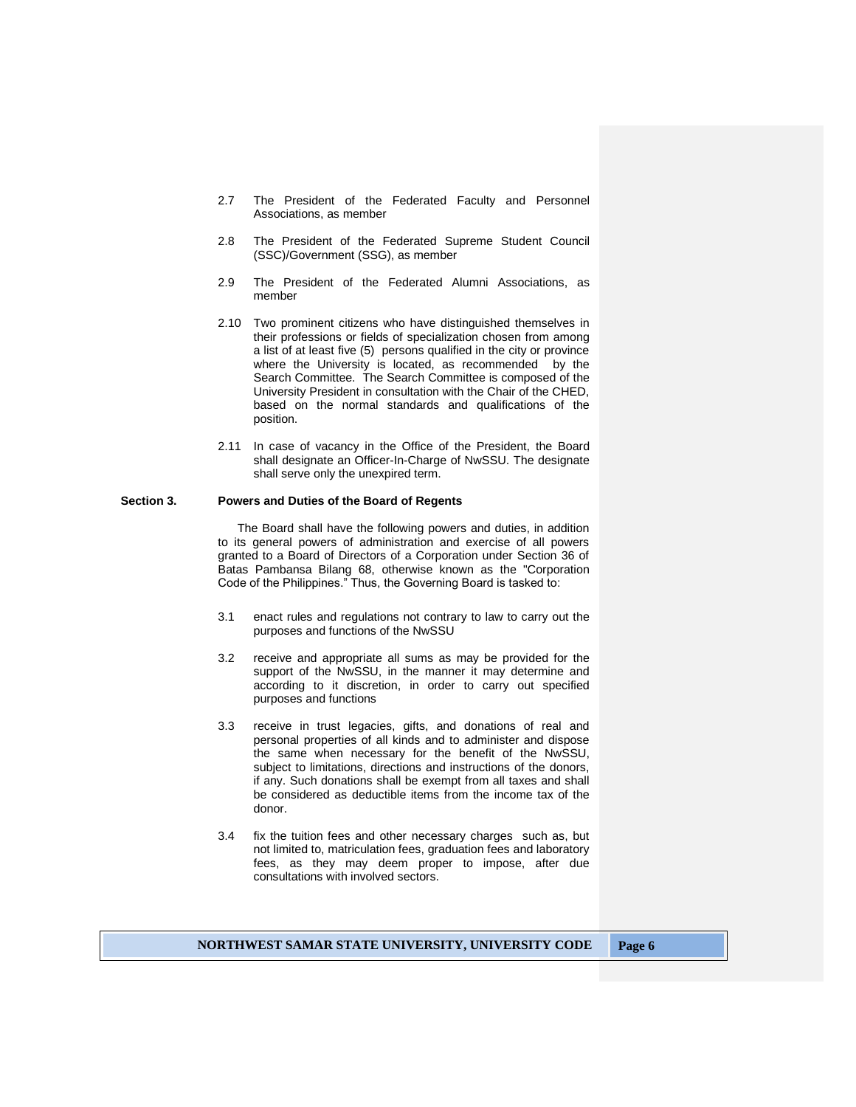- 2.7 The President of the Federated Faculty and Personnel Associations, as member
- 2.8 The President of the Federated Supreme Student Council (SSC)/Government (SSG), as member
- 2.9 The President of the Federated Alumni Associations, as member
- 2.10 Two prominent citizens who have distinguished themselves in their professions or fields of specialization chosen from among a list of at least five (5) persons qualified in the city or province where the University is located, as recommended by the Search Committee. The Search Committee is composed of the University President in consultation with the Chair of the CHED, based on the normal standards and qualifications of the position.
- 2.11 In case of vacancy in the Office of the President, the Board shall designate an Officer-In-Charge of NwSSU. The designate shall serve only the unexpired term.

#### **Section 3. Powers and Duties of the Board of Regents**

The Board shall have the following powers and duties, in addition to its general powers of administration and exercise of all powers granted to a Board of Directors of a Corporation under Section 36 of Batas Pambansa Bilang 68, otherwise known as the "Corporation Code of the Philippines." Thus, the Governing Board is tasked to:

- 3.1 enact rules and regulations not contrary to law to carry out the purposes and functions of the NwSSU
- 3.2 receive and appropriate all sums as may be provided for the support of the NwSSU, in the manner it may determine and according to it discretion, in order to carry out specified purposes and functions
- 3.3 receive in trust legacies, gifts, and donations of real and personal properties of all kinds and to administer and dispose the same when necessary for the benefit of the NwSSU, subject to limitations, directions and instructions of the donors, if any. Such donations shall be exempt from all taxes and shall be considered as deductible items from the income tax of the donor.
- 3.4 fix the tuition fees and other necessary charges such as, but not limited to, matriculation fees, graduation fees and laboratory fees, as they may deem proper to impose, after due consultations with involved sectors.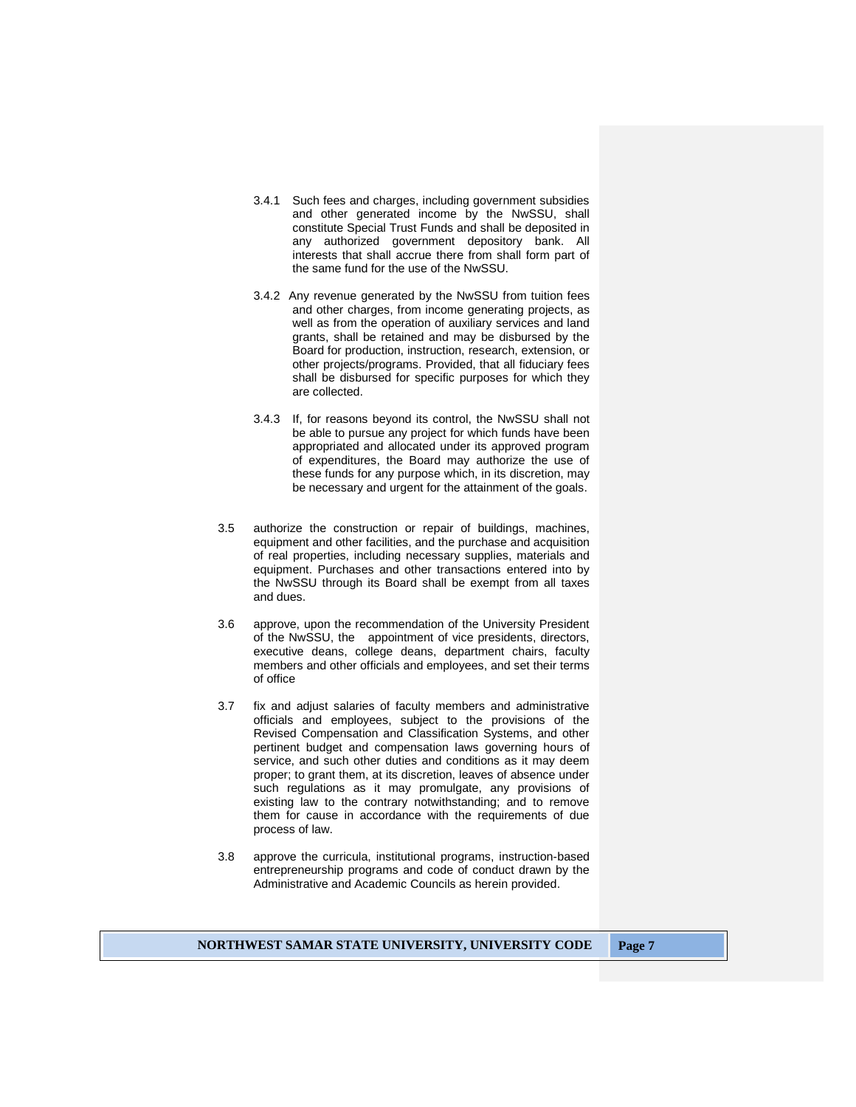- 3.4.1 Such fees and charges, including government subsidies and other generated income by the NwSSU, shall constitute Special Trust Funds and shall be deposited in any authorized government depository bank. All interests that shall accrue there from shall form part of the same fund for the use of the NwSSU.
- 3.4.2 Any revenue generated by the NwSSU from tuition fees and other charges, from income generating projects, as well as from the operation of auxiliary services and land grants, shall be retained and may be disbursed by the Board for production, instruction, research, extension, or other projects/programs. Provided, that all fiduciary fees shall be disbursed for specific purposes for which they are collected.
- 3.4.3 If, for reasons beyond its control, the NwSSU shall not be able to pursue any project for which funds have been appropriated and allocated under its approved program of expenditures, the Board may authorize the use of these funds for any purpose which, in its discretion, may be necessary and urgent for the attainment of the goals.
- 3.5 authorize the construction or repair of buildings, machines, equipment and other facilities, and the purchase and acquisition of real properties, including necessary supplies, materials and equipment. Purchases and other transactions entered into by the NwSSU through its Board shall be exempt from all taxes and dues.
- 3.6 approve, upon the recommendation of the University President of the NwSSU, the appointment of vice presidents, directors, executive deans, college deans, department chairs, faculty members and other officials and employees, and set their terms of office
- 3.7 fix and adjust salaries of faculty members and administrative officials and employees, subject to the provisions of the Revised Compensation and Classification Systems, and other pertinent budget and compensation laws governing hours of service, and such other duties and conditions as it may deem proper; to grant them, at its discretion, leaves of absence under such regulations as it may promulgate, any provisions of existing law to the contrary notwithstanding; and to remove them for cause in accordance with the requirements of due process of law.
- 3.8 approve the curricula, institutional programs, instruction-based entrepreneurship programs and code of conduct drawn by the Administrative and Academic Councils as herein provided.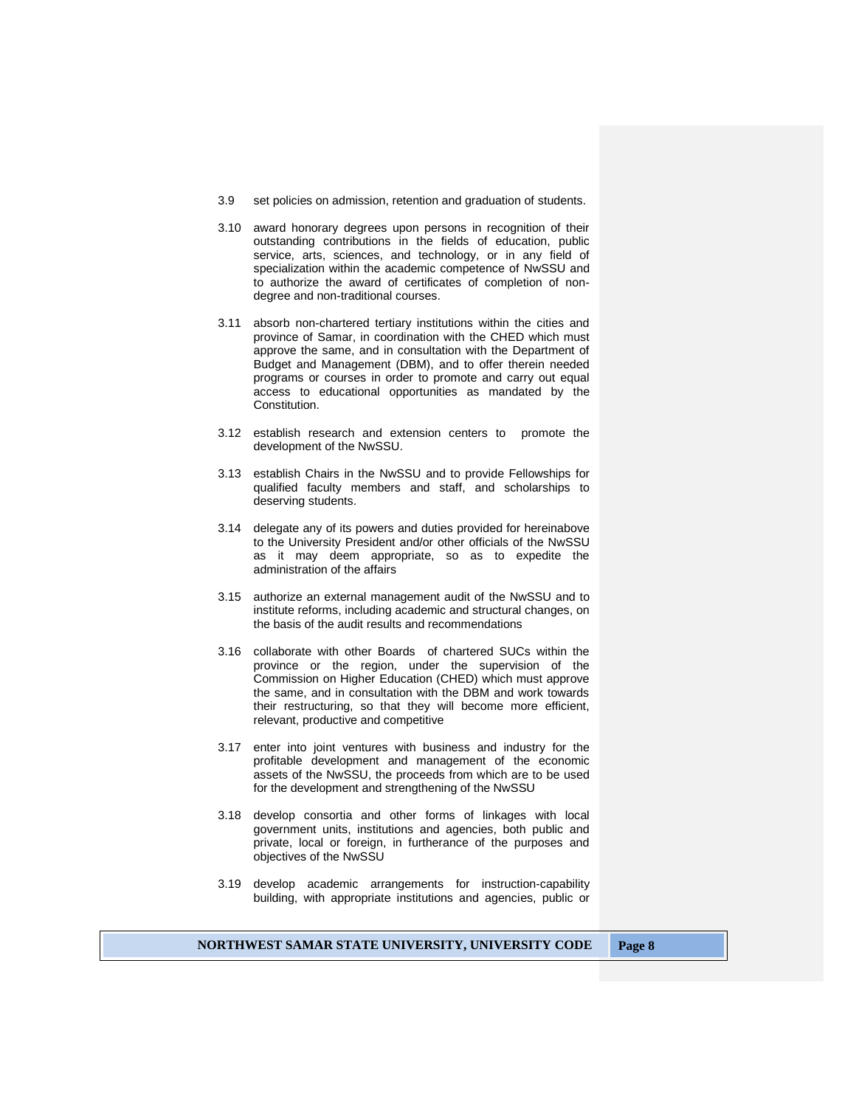- 3.9 set policies on admission, retention and graduation of students.
- 3.10 award honorary degrees upon persons in recognition of their outstanding contributions in the fields of education, public service, arts, sciences, and technology, or in any field of specialization within the academic competence of NwSSU and to authorize the award of certificates of completion of nondegree and non-traditional courses.
- 3.11 absorb non-chartered tertiary institutions within the cities and province of Samar, in coordination with the CHED which must approve the same, and in consultation with the Department of Budget and Management (DBM), and to offer therein needed programs or courses in order to promote and carry out equal access to educational opportunities as mandated by the Constitution.
- 3.12 establish research and extension centers to promote the development of the NwSSU.
- 3.13 establish Chairs in the NwSSU and to provide Fellowships for qualified faculty members and staff, and scholarships to deserving students.
- 3.14 delegate any of its powers and duties provided for hereinabove to the University President and/or other officials of the NwSSU as it may deem appropriate, so as to expedite the administration of the affairs
- 3.15 authorize an external management audit of the NwSSU and to institute reforms, including academic and structural changes, on the basis of the audit results and recommendations
- 3.16 collaborate with other Boards of chartered SUCs within the province or the region, under the supervision of the Commission on Higher Education (CHED) which must approve the same, and in consultation with the DBM and work towards their restructuring, so that they will become more efficient, relevant, productive and competitive
- 3.17 enter into joint ventures with business and industry for the profitable development and management of the economic assets of the NwSSU, the proceeds from which are to be used for the development and strengthening of the NwSSU
- 3.18 develop consortia and other forms of linkages with local government units, institutions and agencies, both public and private, local or foreign, in furtherance of the purposes and objectives of the NwSSU
- 3.19 develop academic arrangements for instruction-capability building, with appropriate institutions and agencies, public or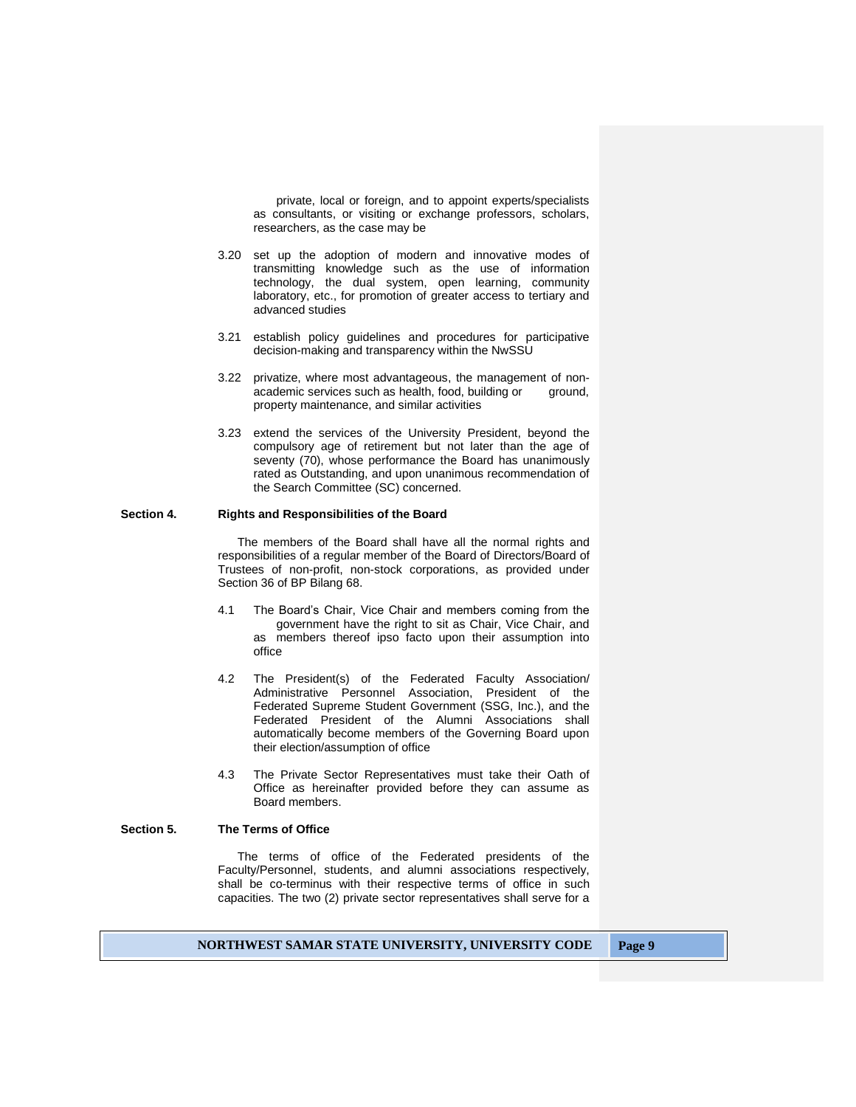private, local or foreign, and to appoint experts/specialists as consultants, or visiting or exchange professors, scholars, researchers, as the case may be

- 3.20 set up the adoption of modern and innovative modes of transmitting knowledge such as the use of information technology, the dual system, open learning, community laboratory, etc., for promotion of greater access to tertiary and advanced studies
- 3.21 establish policy guidelines and procedures for participative decision-making and transparency within the NwSSU
- 3.22 privatize, where most advantageous, the management of nonacademic services such as health, food, building or ground, property maintenance, and similar activities
- 3.23 extend the services of the University President, beyond the compulsory age of retirement but not later than the age of seventy (70), whose performance the Board has unanimously rated as Outstanding, and upon unanimous recommendation of the Search Committee (SC) concerned.

# **Section 4. Rights and Responsibilities of the Board**

The members of the Board shall have all the normal rights and responsibilities of a regular member of the Board of Directors/Board of Trustees of non-profit, non-stock corporations, as provided under Section 36 of BP Bilang 68.

- 4.1 The Board's Chair, Vice Chair and members coming from the government have the right to sit as Chair, Vice Chair, and as members thereof ipso facto upon their assumption into office
- 4.2 The President(s) of the Federated Faculty Association/ Administrative Personnel Association, President of the Federated Supreme Student Government (SSG, Inc.), and the Federated President of the Alumni Associations shall automatically become members of the Governing Board upon their election/assumption of office
- 4.3 The Private Sector Representatives must take their Oath of Office as hereinafter provided before they can assume as Board members.

# **Section 5. The Terms of Office**

The terms of office of the Federated presidents of the Faculty/Personnel, students, and alumni associations respectively, shall be co-terminus with their respective terms of office in such capacities. The two (2) private sector representatives shall serve for a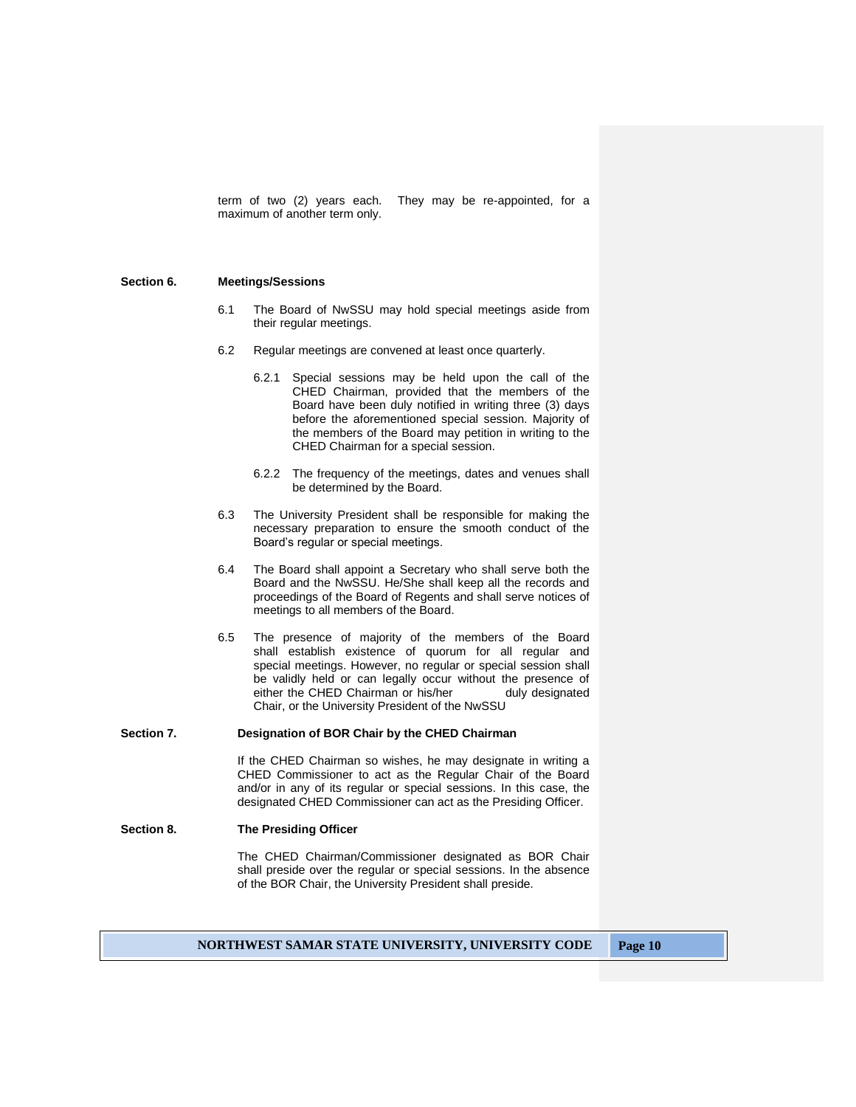term of two (2) years each. They may be re-appointed, for a maximum of another term only.

#### **Section 6. Meetings/Sessions**

- 6.1 The Board of NwSSU may hold special meetings aside from their regular meetings.
- 6.2 Regular meetings are convened at least once quarterly.
	- 6.2.1 Special sessions may be held upon the call of the CHED Chairman, provided that the members of the Board have been duly notified in writing three (3) days before the aforementioned special session. Majority of the members of the Board may petition in writing to the CHED Chairman for a special session.
	- 6.2.2 The frequency of the meetings, dates and venues shall be determined by the Board.
- 6.3 The University President shall be responsible for making the necessary preparation to ensure the smooth conduct of the Board's regular or special meetings.
- 6.4 The Board shall appoint a Secretary who shall serve both the Board and the NwSSU. He/She shall keep all the records and proceedings of the Board of Regents and shall serve notices of meetings to all members of the Board.
- 6.5 The presence of majority of the members of the Board shall establish existence of quorum for all regular and special meetings. However, no regular or special session shall be validly held or can legally occur without the presence of either the CHED Chairman or his/her duly designated Chair, or the University President of the NwSSU

#### **Section 7. Designation of BOR Chair by the CHED Chairman**

If the CHED Chairman so wishes, he may designate in writing a CHED Commissioner to act as the Regular Chair of the Board and/or in any of its regular or special sessions. In this case, the designated CHED Commissioner can act as the Presiding Officer.

## **Section 8. The Presiding Officer**

The CHED Chairman/Commissioner designated as BOR Chair shall preside over the regular or special sessions. In the absence of the BOR Chair, the University President shall preside.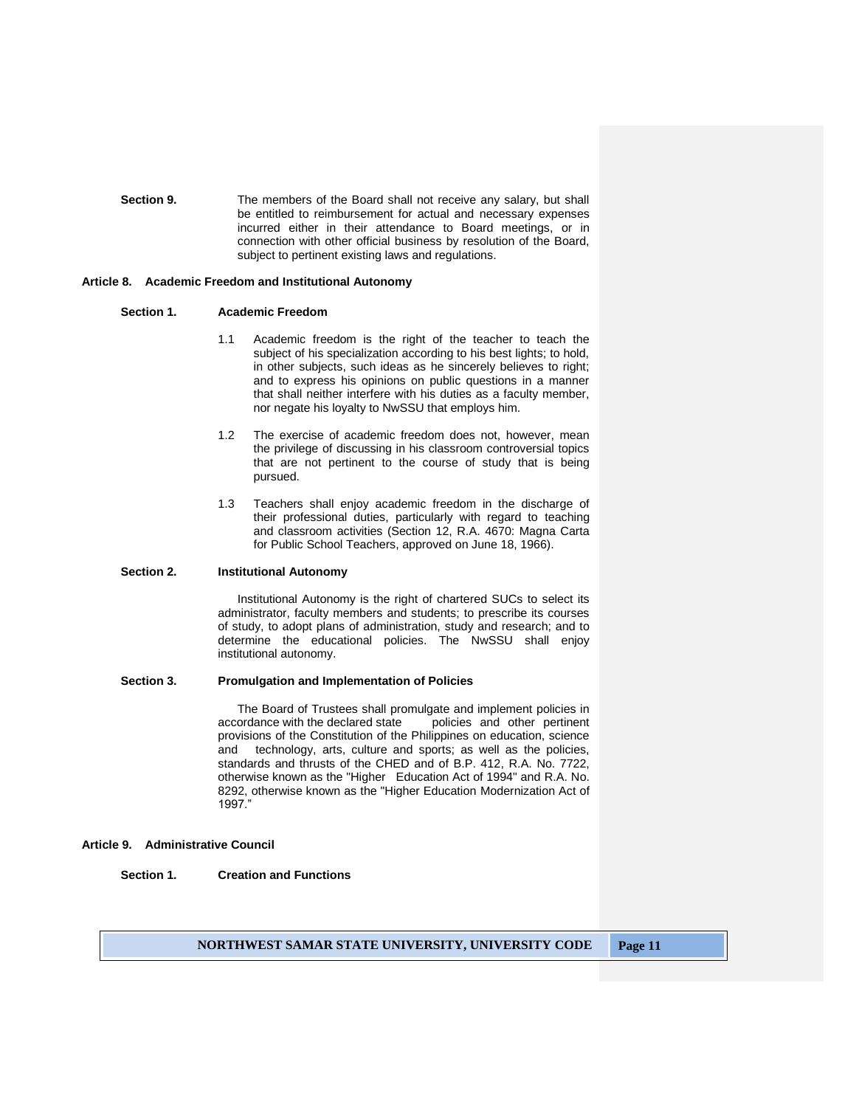**Section 9.** The members of the Board shall not receive any salary, but shall be entitled to reimbursement for actual and necessary expenses incurred either in their attendance to Board meetings, or in connection with other official business by resolution of the Board, subject to pertinent existing laws and regulations.

#### **Article 8. Academic Freedom and Institutional Autonomy**

#### **Section 1. Academic Freedom**

- 1.1 Academic freedom is the right of the teacher to teach the subject of his specialization according to his best lights; to hold, in other subjects, such ideas as he sincerely believes to right; and to express his opinions on public questions in a manner that shall neither interfere with his duties as a faculty member, nor negate his loyalty to NwSSU that employs him.
- 1.2 The exercise of academic freedom does not, however, mean the privilege of discussing in his classroom controversial topics that are not pertinent to the course of study that is being pursued.
- 1.3 Teachers shall enjoy academic freedom in the discharge of their professional duties, particularly with regard to teaching and classroom activities (Section 12, R.A. 4670: Magna Carta for Public School Teachers, approved on June 18, 1966).

#### **Section 2. Institutional Autonomy**

Institutional Autonomy is the right of chartered SUCs to select its administrator, faculty members and students; to prescribe its courses of study, to adopt plans of administration, study and research; and to determine the educational policies. The NwSSU shall enjoy institutional autonomy.

#### **Section 3. Promulgation and Implementation of Policies**

The Board of Trustees shall promulgate and implement policies in accordance with the declared state policies and other pertinent provisions of the Constitution of the Philippines on education, science and technology, arts, culture and sports; as well as the policies, standards and thrusts of the CHED and of B.P. 412, R.A. No. 7722, otherwise known as the "Higher Education Act of 1994" and R.A. No. 8292, otherwise known as the "Higher Education Modernization Act of 1997."

#### **Article 9. Administrative Council**

## **Section 1. Creation and Functions**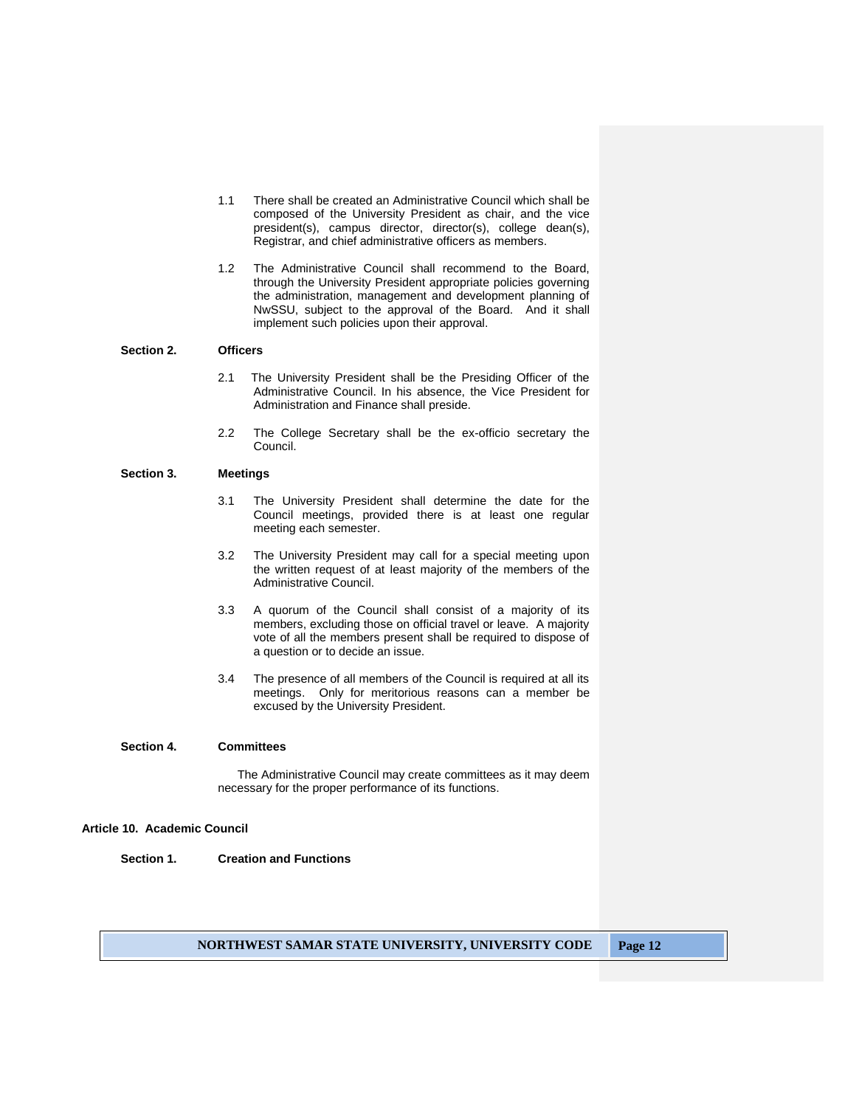- 1.1 There shall be created an Administrative Council which shall be composed of the University President as chair, and the vice president(s), campus director, director(s), college dean(s), Registrar, and chief administrative officers as members.
- 1.2 The Administrative Council shall recommend to the Board, through the University President appropriate policies governing the administration, management and development planning of NwSSU, subject to the approval of the Board. And it shall implement such policies upon their approval.

#### **Section 2. Officers**

- 2.1 The University President shall be the Presiding Officer of the Administrative Council. In his absence, the Vice President for Administration and Finance shall preside.
- 2.2 The College Secretary shall be the ex-officio secretary the Council.

## **Section 3. Meetings**

- 3.1 The University President shall determine the date for the Council meetings, provided there is at least one regular meeting each semester.
- 3.2 The University President may call for a special meeting upon the written request of at least majority of the members of the Administrative Council.
- 3.3 A quorum of the Council shall consist of a majority of its members, excluding those on official travel or leave. A majority vote of all the members present shall be required to dispose of a question or to decide an issue.
- 3.4 The presence of all members of the Council is required at all its meetings. Only for meritorious reasons can a member be excused by the University President.

# **Section 4. Committees**

The Administrative Council may create committees as it may deem necessary for the proper performance of its functions.

#### **Article 10. Academic Council**

**Section 1. Creation and Functions**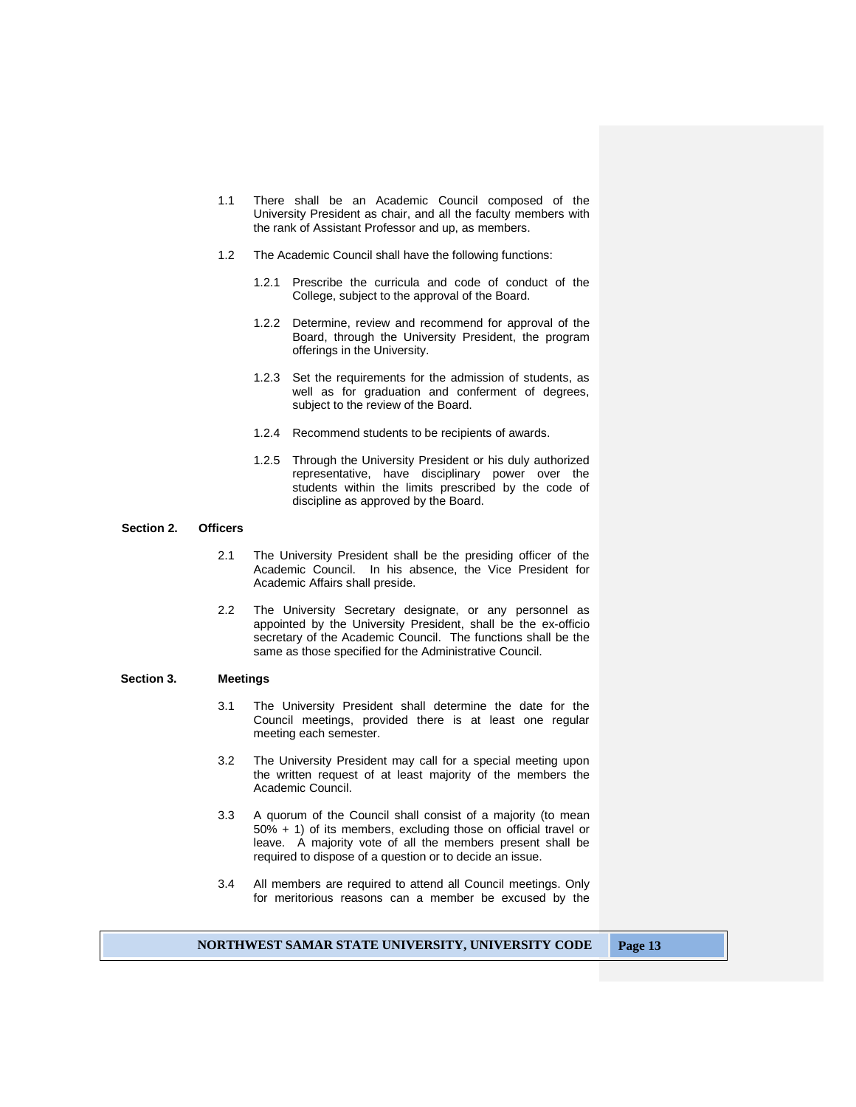- 1.1 There shall be an Academic Council composed of the University President as chair, and all the faculty members with the rank of Assistant Professor and up, as members.
- 1.2 The Academic Council shall have the following functions:
	- 1.2.1 Prescribe the curricula and code of conduct of the College, subject to the approval of the Board.
	- 1.2.2 Determine, review and recommend for approval of the Board, through the University President, the program offerings in the University.
	- 1.2.3 Set the requirements for the admission of students, as well as for graduation and conferment of degrees, subject to the review of the Board.
	- 1.2.4 Recommend students to be recipients of awards.
	- 1.2.5 Through the University President or his duly authorized representative, have disciplinary power over the students within the limits prescribed by the code of discipline as approved by the Board.

## **Section 2. Officers**

- 2.1 The University President shall be the presiding officer of the Academic Council. In his absence, the Vice President for Academic Affairs shall preside.
- 2.2 The University Secretary designate, or any personnel as appointed by the University President, shall be the ex-officio secretary of the Academic Council. The functions shall be the same as those specified for the Administrative Council.

#### **Section 3. Meetings**

- 3.1 The University President shall determine the date for the Council meetings, provided there is at least one regular meeting each semester.
- 3.2 The University President may call for a special meeting upon the written request of at least majority of the members the Academic Council.
- 3.3 A quorum of the Council shall consist of a majority (to mean 50% + 1) of its members, excluding those on official travel or leave. A majority vote of all the members present shall be required to dispose of a question or to decide an issue.
- 3.4 All members are required to attend all Council meetings. Only for meritorious reasons can a member be excused by the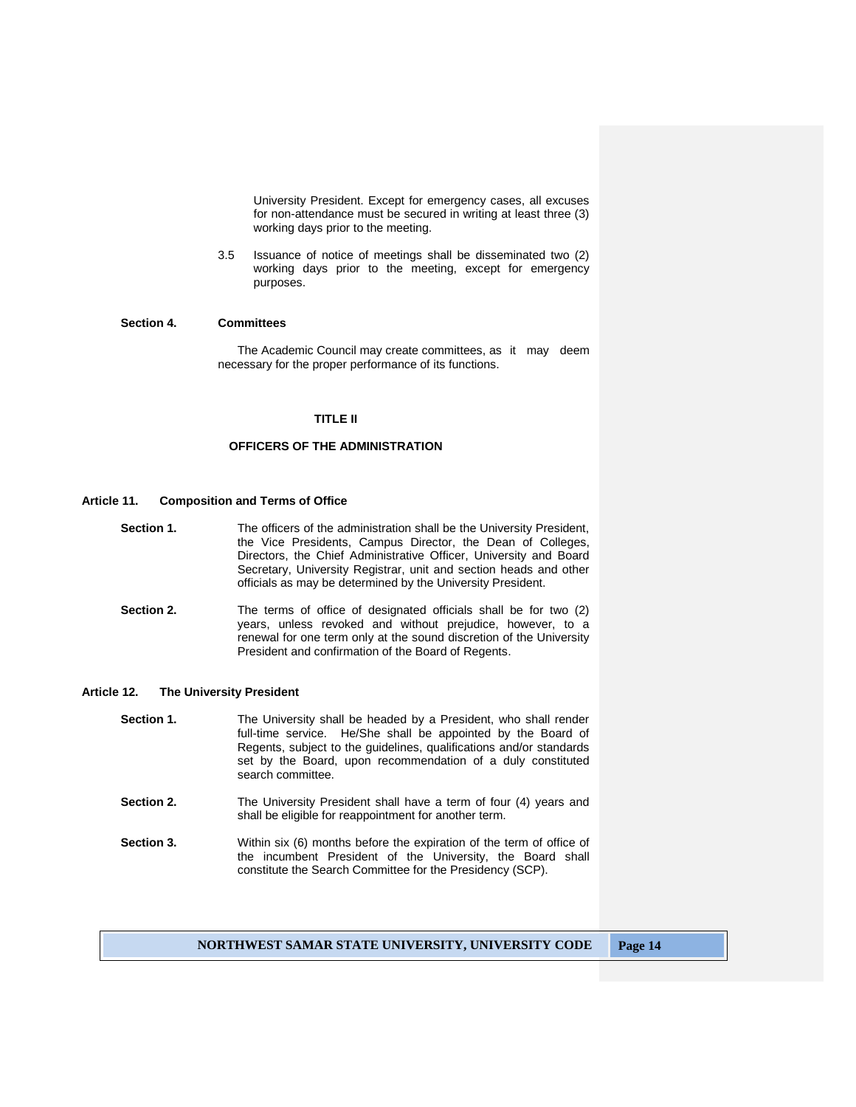University President. Except for emergency cases, all excuses for non-attendance must be secured in writing at least three (3) working days prior to the meeting.

3.5 Issuance of notice of meetings shall be disseminated two (2) working days prior to the meeting, except for emergency purposes.

## **Section 4. Committees**

The Academic Council may create committees, as it may deem necessary for the proper performance of its functions.

## **TITLE II**

## **OFFICERS OF THE ADMINISTRATION**

#### **Article 11. Composition and Terms of Office**

- **Section 1.** The officers of the administration shall be the University President, the Vice Presidents, Campus Director, the Dean of Colleges, Directors, the Chief Administrative Officer, University and Board Secretary, University Registrar, unit and section heads and other officials as may be determined by the University President.
- **Section 2.** The terms of office of designated officials shall be for two (2) years, unless revoked and without prejudice, however, to a renewal for one term only at the sound discretion of the University President and confirmation of the Board of Regents.

#### **Article 12. The University President**

- **Section 1.** The University shall be headed by a President, who shall render full-time service. He/She shall be appointed by the Board of Regents, subject to the guidelines, qualifications and/or standards set by the Board, upon recommendation of a duly constituted search committee.
- **Section 2.** The University President shall have a term of four (4) years and shall be eligible for reappointment for another term.
- **Section 3.** Within six (6) months before the expiration of the term of office of the incumbent President of the University, the Board shall constitute the Search Committee for the Presidency (SCP).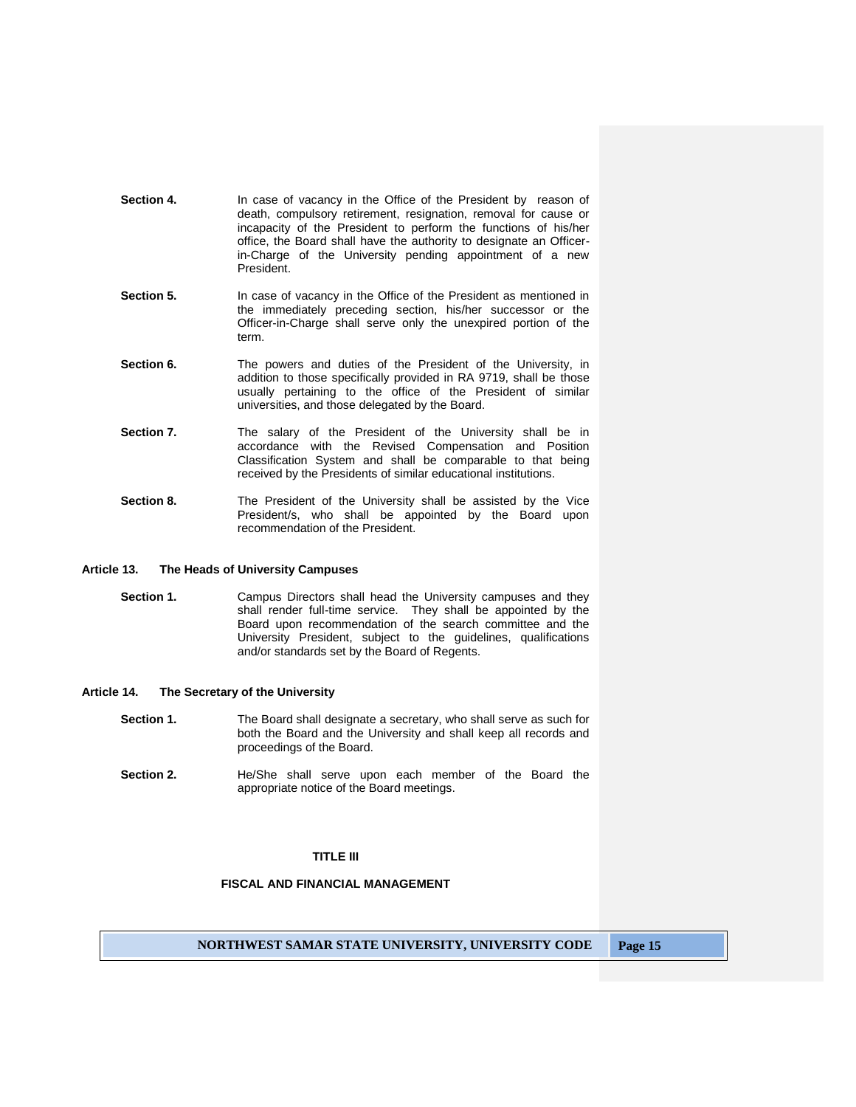| Section 4. | In case of vacancy in the Office of the President by reason of      |
|------------|---------------------------------------------------------------------|
|            | death, compulsory retirement, resignation, removal for cause or     |
|            | incapacity of the President to perform the functions of his/her     |
|            | office, the Board shall have the authority to designate an Officer- |
|            | in-Charge of the University pending appointment of a new            |
|            | President.                                                          |

- **Section 5.** In case of vacancy in the Office of the President as mentioned in the immediately preceding section, his/her successor or the Officer-in-Charge shall serve only the unexpired portion of the term.
- **Section 6.** The powers and duties of the President of the University, in addition to those specifically provided in RA 9719, shall be those usually pertaining to the office of the President of similar universities, and those delegated by the Board.
- **Section 7.** The salary of the President of the University shall be in accordance with the Revised Compensation and Position Classification System and shall be comparable to that being received by the Presidents of similar educational institutions.
- **Section 8.** The President of the University shall be assisted by the Vice President/s, who shall be appointed by the Board upon recommendation of the President.

# **Article 13. The Heads of University Campuses**

**Section 1.** Campus Directors shall head the University campuses and they shall render full-time service. They shall be appointed by the Board upon recommendation of the search committee and the University President, subject to the guidelines, qualifications and/or standards set by the Board of Regents.

## **Article 14. The Secretary of the University**

- **Section 1.** The Board shall designate a secretary, who shall serve as such for both the Board and the University and shall keep all records and proceedings of the Board.
- **Section 2.** He/She shall serve upon each member of the Board the appropriate notice of the Board meetings.

#### **TITLE III**

# **FISCAL AND FINANCIAL MANAGEMENT**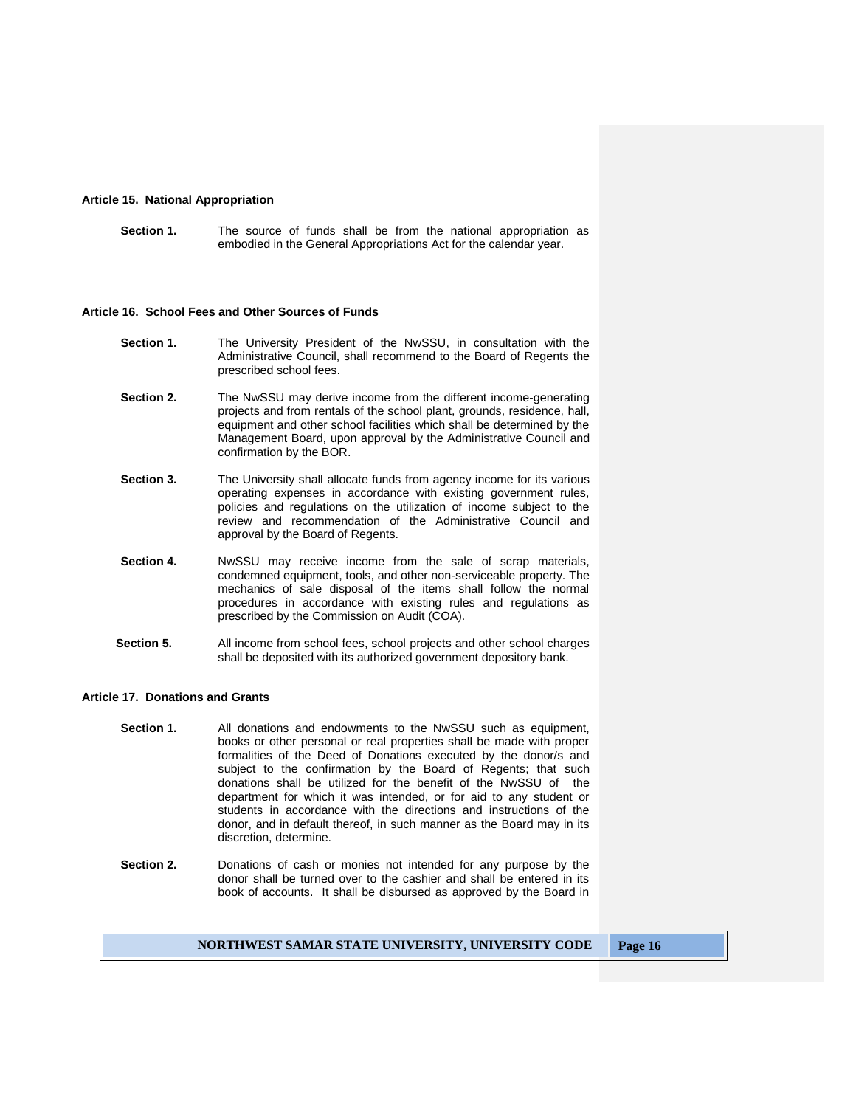## **Article 15. National Appropriation**

**Section 1.** The source of funds shall be from the national appropriation as embodied in the General Appropriations Act for the calendar year.

#### **Article 16. School Fees and Other Sources of Funds**

- **Section 1.** The University President of the NwSSU, in consultation with the Administrative Council, shall recommend to the Board of Regents the prescribed school fees.
- **Section 2.** The NwSSU may derive income from the different income-generating projects and from rentals of the school plant, grounds, residence, hall, equipment and other school facilities which shall be determined by the Management Board, upon approval by the Administrative Council and confirmation by the BOR.
- **Section 3.** The University shall allocate funds from agency income for its various operating expenses in accordance with existing government rules, policies and regulations on the utilization of income subject to the review and recommendation of the Administrative Council and approval by the Board of Regents.
- **Section 4.** NwSSU may receive income from the sale of scrap materials, condemned equipment, tools, and other non-serviceable property. The mechanics of sale disposal of the items shall follow the normal procedures in accordance with existing rules and regulations as prescribed by the Commission on Audit (COA).
- **Section 5.** All income from school fees, school projects and other school charges shall be deposited with its authorized government depository bank.

#### **Article 17. Donations and Grants**

- **Section 1.** All donations and endowments to the NwSSU such as equipment, books or other personal or real properties shall be made with proper formalities of the Deed of Donations executed by the donor/s and subject to the confirmation by the Board of Regents; that such donations shall be utilized for the benefit of the NwSSU of the department for which it was intended, or for aid to any student or students in accordance with the directions and instructions of the donor, and in default thereof, in such manner as the Board may in its discretion, determine.
- **Section 2.** Donations of cash or monies not intended for any purpose by the donor shall be turned over to the cashier and shall be entered in its book of accounts. It shall be disbursed as approved by the Board in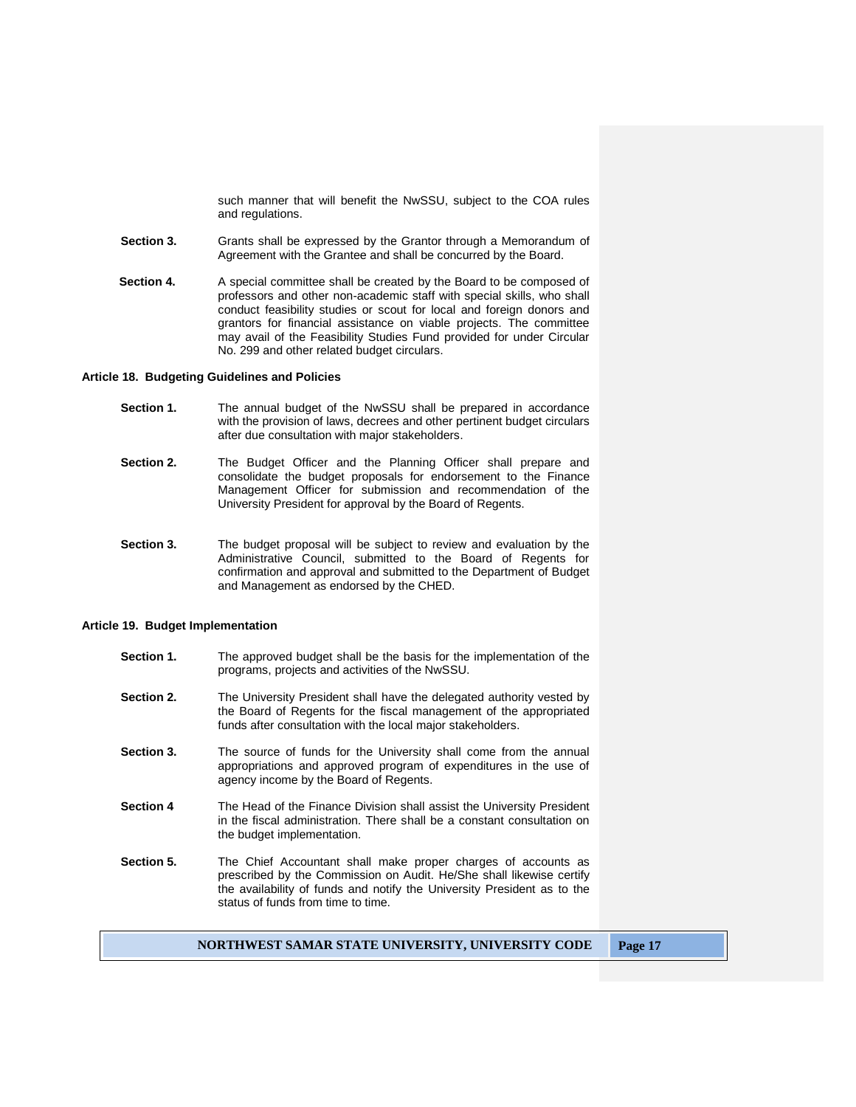such manner that will benefit the NwSSU, subject to the COA rules and regulations.

- **Section 3.** Grants shall be expressed by the Grantor through a Memorandum of Agreement with the Grantee and shall be concurred by the Board.
- **Section 4.** A special committee shall be created by the Board to be composed of professors and other non-academic staff with special skills, who shall conduct feasibility studies or scout for local and foreign donors and grantors for financial assistance on viable projects. The committee may avail of the Feasibility Studies Fund provided for under Circular No. 299 and other related budget circulars.

#### **Article 18. Budgeting Guidelines and Policies**

- **Section 1.** The annual budget of the NwSSU shall be prepared in accordance with the provision of laws, decrees and other pertinent budget circulars after due consultation with major stakeholders.
- **Section 2.** The Budget Officer and the Planning Officer shall prepare and consolidate the budget proposals for endorsement to the Finance Management Officer for submission and recommendation of the University President for approval by the Board of Regents.
- **Section 3.** The budget proposal will be subject to review and evaluation by the Administrative Council, submitted to the Board of Regents for confirmation and approval and submitted to the Department of Budget and Management as endorsed by the CHED.

#### **Article 19. Budget Implementation**

- **Section 1.** The approved budget shall be the basis for the implementation of the programs, projects and activities of the NwSSU.
- **Section 2.** The University President shall have the delegated authority vested by the Board of Regents for the fiscal management of the appropriated funds after consultation with the local major stakeholders.
- **Section 3.** The source of funds for the University shall come from the annual appropriations and approved program of expenditures in the use of agency income by the Board of Regents.
- **Section 4** The Head of the Finance Division shall assist the University President in the fiscal administration. There shall be a constant consultation on the budget implementation.
- **Section 5.** The Chief Accountant shall make proper charges of accounts as prescribed by the Commission on Audit. He/She shall likewise certify the availability of funds and notify the University President as to the status of funds from time to time.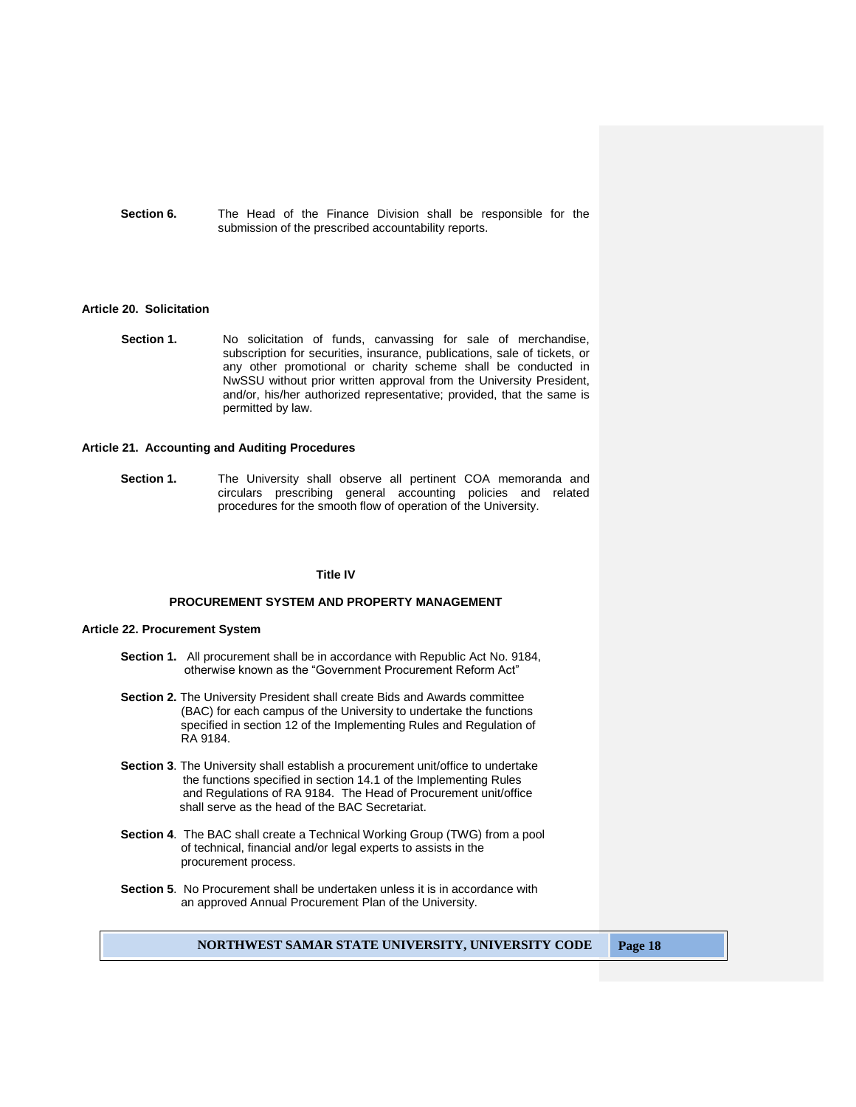**Section 6.** The Head of the Finance Division shall be responsible for the submission of the prescribed accountability reports.

#### **Article 20. Solicitation**

**Section 1.** No solicitation of funds, canvassing for sale of merchandise, subscription for securities, insurance, publications, sale of tickets, or any other promotional or charity scheme shall be conducted in NwSSU without prior written approval from the University President, and/or, his/her authorized representative; provided, that the same is permitted by law.

#### **Article 21. Accounting and Auditing Procedures**

**Section 1.** The University shall observe all pertinent COA memoranda and circulars prescribing general accounting policies and related procedures for the smooth flow of operation of the University.

#### **Title IV**

## **PROCUREMENT SYSTEM AND PROPERTY MANAGEMENT**

## **Article 22. Procurement System**

- **Section 1.** All procurement shall be in accordance with Republic Act No. 9184, otherwise known as the "Government Procurement Reform Act"
- **Section 2.** The University President shall create Bids and Awards committee (BAC) for each campus of the University to undertake the functions specified in section 12 of the Implementing Rules and Regulation of RA 9184.
- **Section 3**. The University shall establish a procurement unit/office to undertake the functions specified in section 14.1 of the Implementing Rules and Regulations of RA 9184. The Head of Procurement unit/office shall serve as the head of the BAC Secretariat.
- **Section 4**. The BAC shall create a Technical Working Group (TWG) from a pool of technical, financial and/or legal experts to assists in the procurement process.
- **Section 5**. No Procurement shall be undertaken unless it is in accordance with an approved Annual Procurement Plan of the University.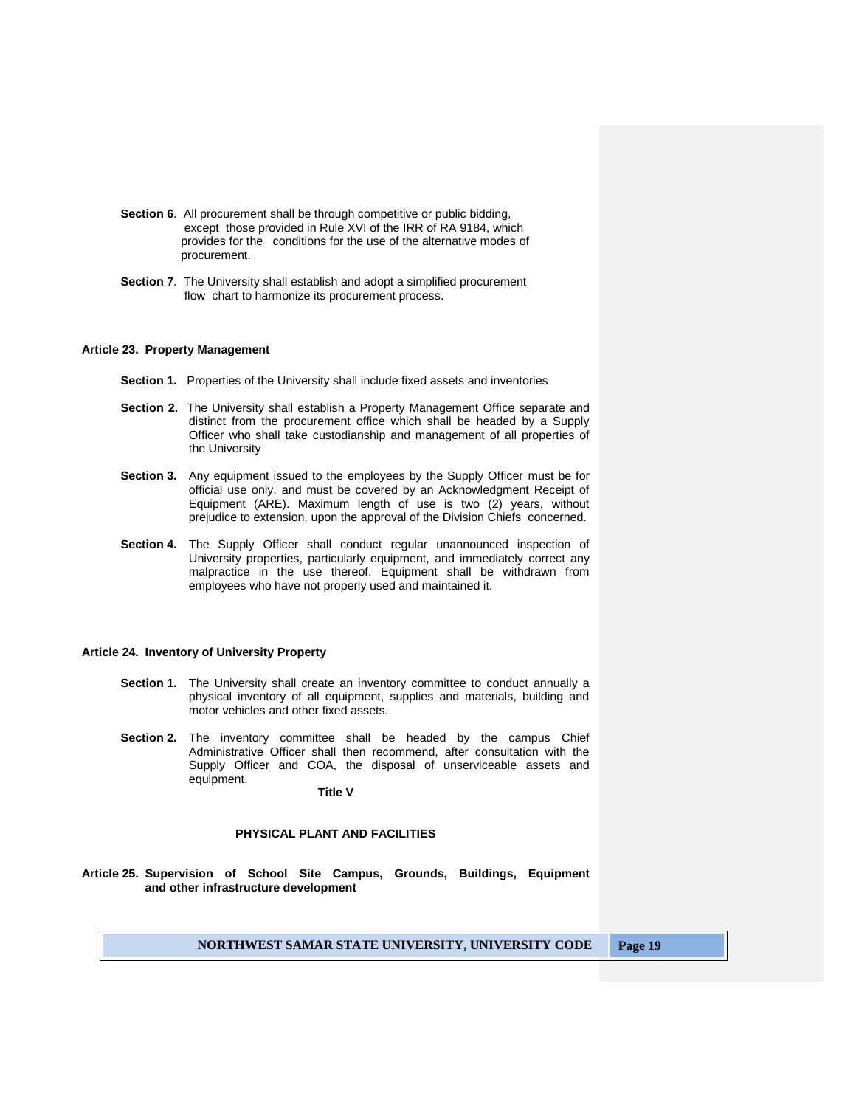- **Section 6.** All procurement shall be through competitive or public bidding, except those provided in Rule XVI of the IRR of RA 9184, which provides for the conditions for the use of the alternative modes of procurement.
- **Section 7**. The University shall establish and adopt a simplified procurement flow chart to harmonize its procurement process.

#### **Article 23. Property Management**

- **Section 1.** Properties of the University shall include fixed assets and inventories
- **Section 2.** The University shall establish a Property Management Office separate and distinct from the procurement office which shall be headed by a Supply Officer who shall take custodianship and management of all properties of the University
- **Section 3.** Any equipment issued to the employees by the Supply Officer must be for official use only, and must be covered by an Acknowledgment Receipt of Equipment (ARE). Maximum length of use is two (2) years, without prejudice to extension, upon the approval of the Division Chiefs concerned.
- **Section 4.** The Supply Officer shall conduct regular unannounced inspection of University properties, particularly equipment, and immediately correct any malpractice in the use thereof. Equipment shall be withdrawn from employees who have not properly used and maintained it.

#### **Article 24. Inventory of University Property**

- **Section 1.** The University shall create an inventory committee to conduct annually a physical inventory of all equipment, supplies and materials, building and motor vehicles and other fixed assets.
- **Section 2.** The inventory committee shall be headed by the campus Chief Administrative Officer shall then recommend, after consultation with the Supply Officer and COA, the disposal of unserviceable assets and equipment.

#### **Title V**

## **PHYSICAL PLANT AND FACILITIES**

**Article 25. Supervision of School Site Campus, Grounds, Buildings, Equipment and other infrastructure development**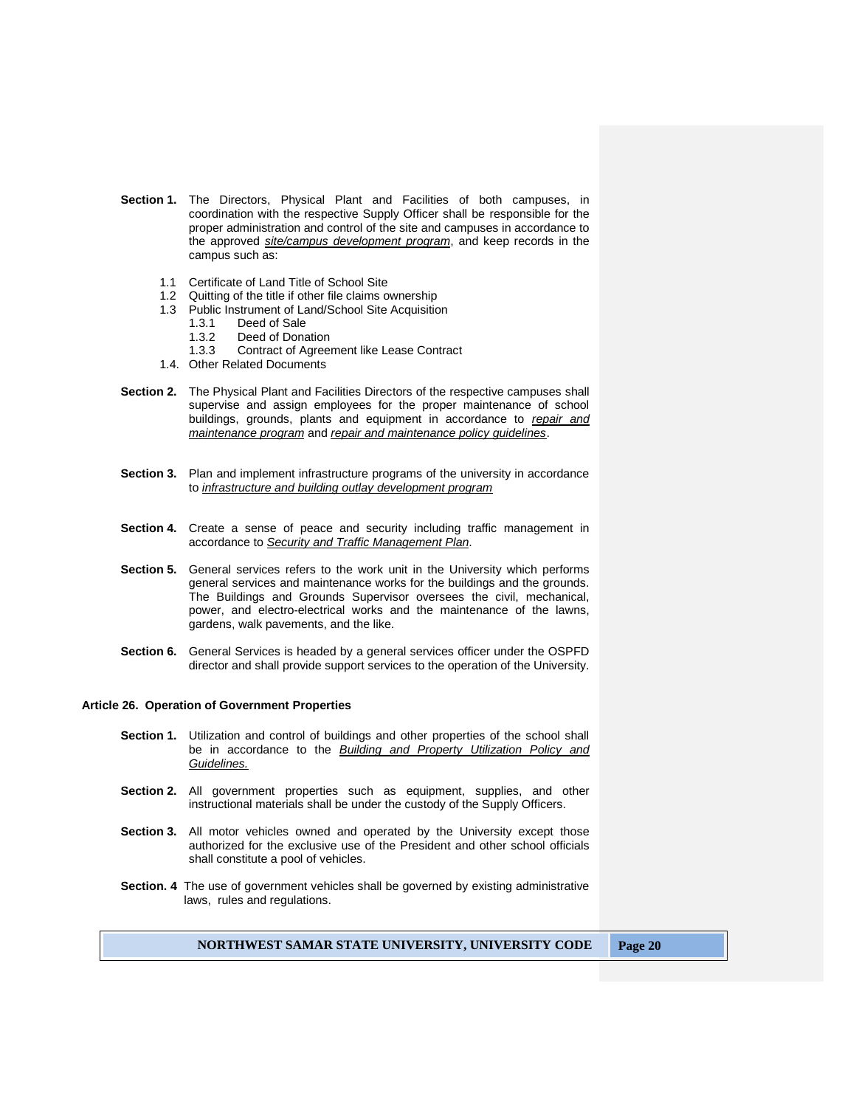- **Section 1.** The Directors, Physical Plant and Facilities of both campuses, in coordination with the respective Supply Officer shall be responsible for the proper administration and control of the site and campuses in accordance to the approved *site/campus development program*, and keep records in the campus such as:
	- 1.1 Certificate of Land Title of School Site
	- 1.2 Quitting of the title if other file claims ownership
	- 1.3 Public Instrument of Land/School Site Acquisition
		- 1.3.1 Deed of Sale<br>1.3.2 Deed of Dona
		- Deed of Donation
		- 1.3.3 Contract of Agreement like Lease Contract
	- 1.4. Other Related Documents
- **Section 2.** The Physical Plant and Facilities Directors of the respective campuses shall supervise and assign employees for the proper maintenance of school buildings, grounds, plants and equipment in accordance to *repair and maintenance program* and *repair and maintenance policy guidelines*.
- **Section 3.** Plan and implement infrastructure programs of the university in accordance to *infrastructure and building outlay development program*
- **Section 4.** Create a sense of peace and security including traffic management in accordance to *Security and Traffic Management Plan*.
- **Section 5.** General services refers to the work unit in the University which performs general services and maintenance works for the buildings and the grounds. The Buildings and Grounds Supervisor oversees the civil, mechanical, power, and electro-electrical works and the maintenance of the lawns, gardens, walk pavements, and the like.
- **Section 6.** General Services is headed by a general services officer under the OSPFD director and shall provide support services to the operation of the University.

#### **Article 26. Operation of Government Properties**

- **Section 1.** Utilization and control of buildings and other properties of the school shall be in accordance to the *Building and Property Utilization Policy and Guidelines.*
- **Section 2.** All government properties such as equipment, supplies, and other instructional materials shall be under the custody of the Supply Officers.
- **Section 3.** All motor vehicles owned and operated by the University except those authorized for the exclusive use of the President and other school officials shall constitute a pool of vehicles.
- **Section. 4** The use of government vehicles shall be governed by existing administrative laws, rules and regulations.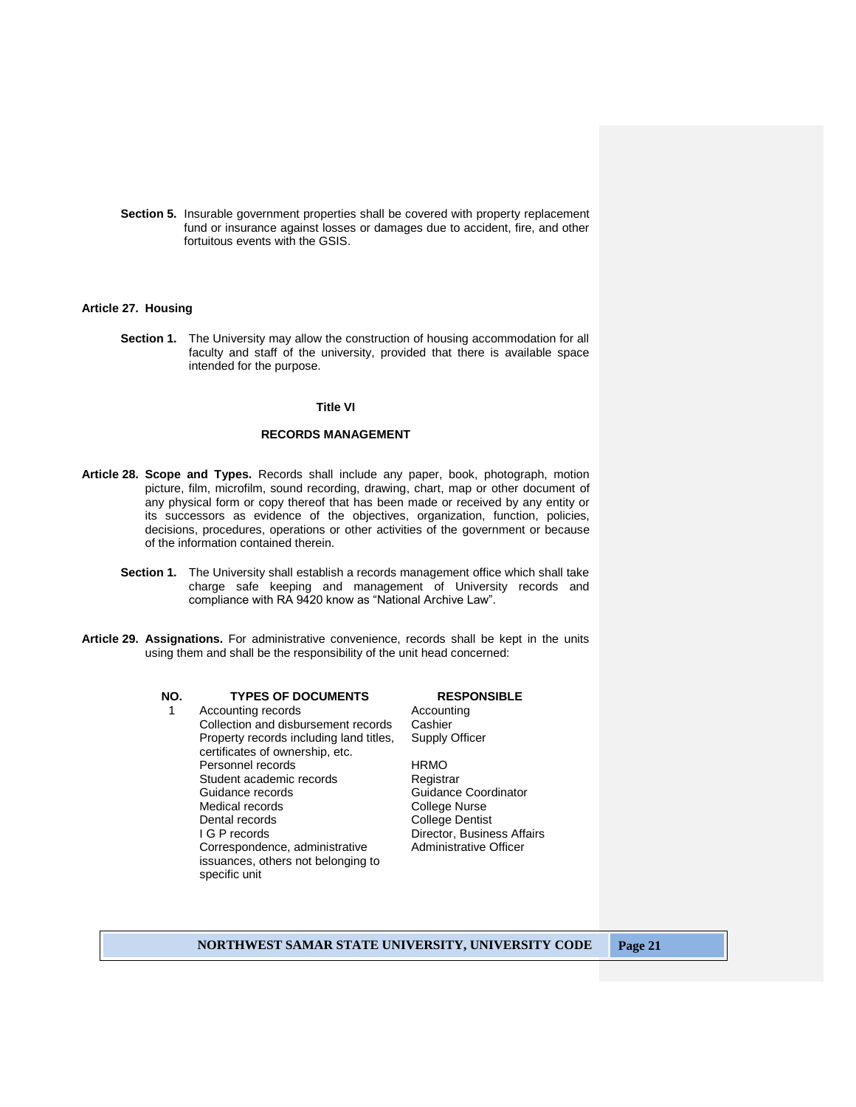**Section 5.** Insurable government properties shall be covered with property replacement fund or insurance against losses or damages due to accident, fire, and other fortuitous events with the GSIS.

## **Article 27. Housing**

**Section 1.** The University may allow the construction of housing accommodation for all faculty and staff of the university, provided that there is available space intended for the purpose.

## **Title VI**

## **RECORDS MANAGEMENT**

- **Article 28. Scope and Types.** Records shall include any paper, book, photograph, motion picture, film, microfilm, sound recording, drawing, chart, map or other document of any physical form or copy thereof that has been made or received by any entity or its successors as evidence of the objectives, organization, function, policies, decisions, procedures, operations or other activities of the government or because of the information contained therein.
	- **Section 1.** The University shall establish a records management office which shall take charge safe keeping and management of University records and compliance with RA 9420 know as "National Archive Law".
- **Article 29. Assignations.** For administrative convenience, records shall be kept in the units using them and shall be the responsibility of the unit head concerned:

1 Accounting records **Accounting** Collection and disbursement records Cashier Property records including land titles, certificates of ownership, etc. Personnel records HRMO<br>Student academic records Registrar Student academic records Guidance records<br>
Medical records<br>
Medical records

College Nurse Medical records and the College Nurse<br>
Dental records College Dentis I G P records **Director**, Business Affairs Correspondence, administrative issuances, others not belonging to specific unit

# **NO. TYPES OF DOCUMENTS RESPONSIBLE**

Supply Officer

College Dentist Administrative Officer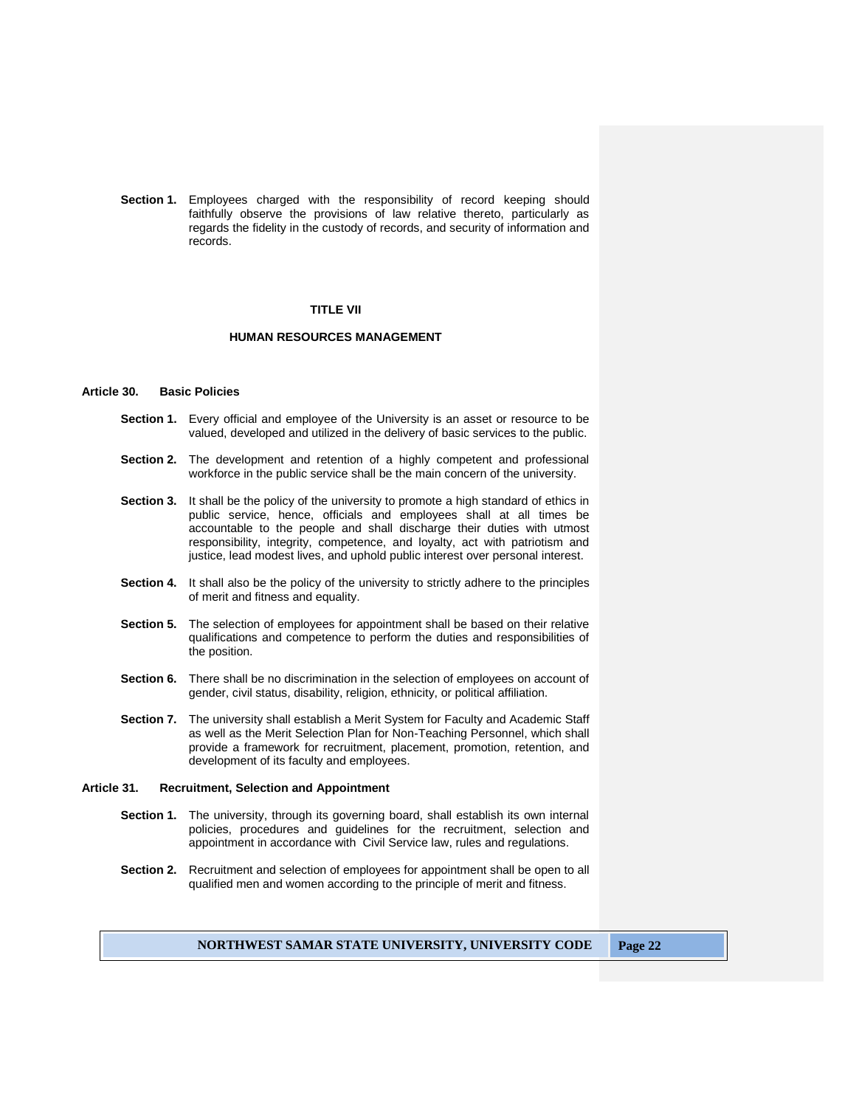**Section 1.** Employees charged with the responsibility of record keeping should faithfully observe the provisions of law relative thereto, particularly as regards the fidelity in the custody of records, and security of information and records.

## **TITLE VII**

## **HUMAN RESOURCES MANAGEMENT**

## **Article 30. Basic Policies**

- **Section 1.** Every official and employee of the University is an asset or resource to be valued, developed and utilized in the delivery of basic services to the public.
- **Section 2.** The development and retention of a highly competent and professional workforce in the public service shall be the main concern of the university.
- **Section 3.** It shall be the policy of the university to promote a high standard of ethics in public service, hence, officials and employees shall at all times be accountable to the people and shall discharge their duties with utmost responsibility, integrity, competence, and loyalty, act with patriotism and justice, lead modest lives, and uphold public interest over personal interest.
- **Section 4.** It shall also be the policy of the university to strictly adhere to the principles of merit and fitness and equality.
- **Section 5.** The selection of employees for appointment shall be based on their relative qualifications and competence to perform the duties and responsibilities of the position.
- **Section 6.** There shall be no discrimination in the selection of employees on account of gender, civil status, disability, religion, ethnicity, or political affiliation.
- **Section 7.** The university shall establish a Merit System for Faculty and Academic Staff as well as the Merit Selection Plan for Non-Teaching Personnel, which shall provide a framework for recruitment, placement, promotion, retention, and development of its faculty and employees.

#### **Article 31. Recruitment, Selection and Appointment**

- **Section 1.** The university, through its governing board, shall establish its own internal policies, procedures and guidelines for the recruitment, selection and appointment in accordance with Civil Service law, rules and regulations.
- **Section 2.** Recruitment and selection of employees for appointment shall be open to all qualified men and women according to the principle of merit and fitness.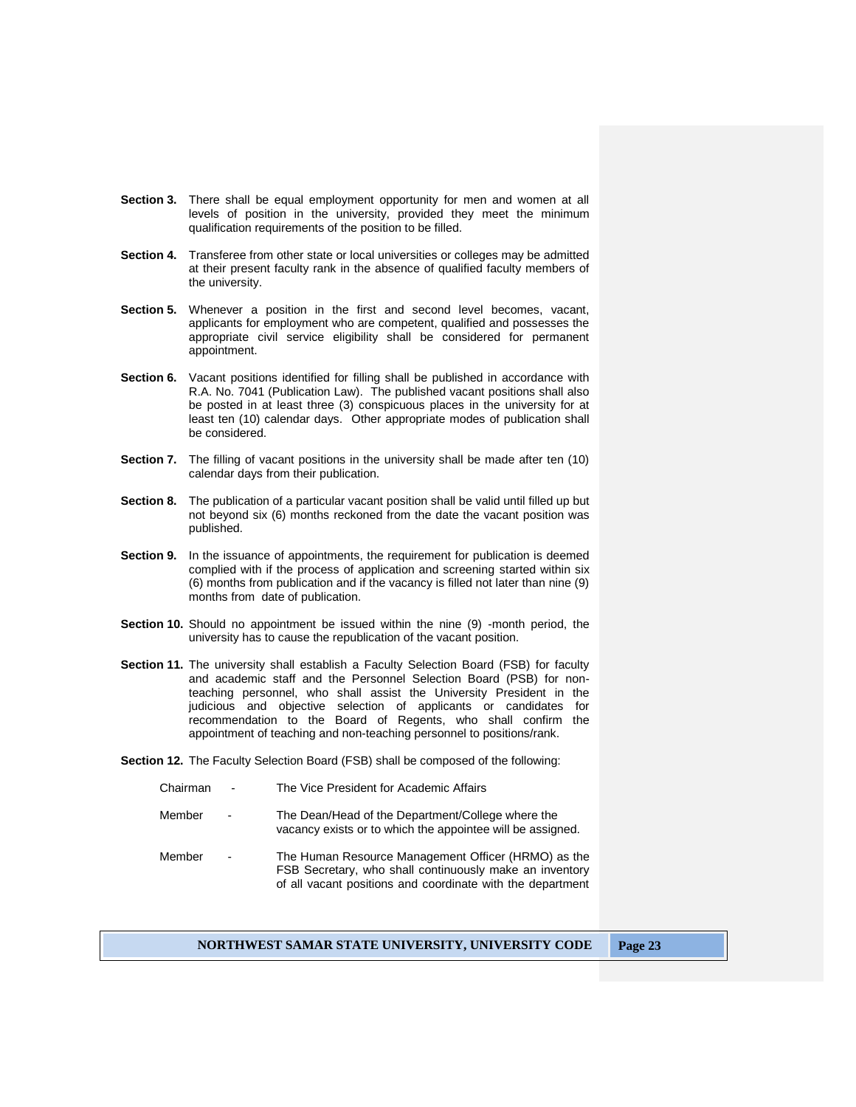- **Section 3.** There shall be equal employment opportunity for men and women at all levels of position in the university, provided they meet the minimum qualification requirements of the position to be filled.
- **Section 4.** Transferee from other state or local universities or colleges may be admitted at their present faculty rank in the absence of qualified faculty members of the university.
- **Section 5.** Whenever a position in the first and second level becomes, vacant, applicants for employment who are competent, qualified and possesses the appropriate civil service eligibility shall be considered for permanent appointment.
- **Section 6.** Vacant positions identified for filling shall be published in accordance with R.A. No. 7041 (Publication Law). The published vacant positions shall also be posted in at least three (3) conspicuous places in the university for at least ten (10) calendar days. Other appropriate modes of publication shall be considered.
- **Section 7.** The filling of vacant positions in the university shall be made after ten (10) calendar days from their publication.
- **Section 8.** The publication of a particular vacant position shall be valid until filled up but not beyond six (6) months reckoned from the date the vacant position was published.
- **Section 9.** In the issuance of appointments, the requirement for publication is deemed complied with if the process of application and screening started within six (6) months from publication and if the vacancy is filled not later than nine (9) months from date of publication.
- **Section 10.** Should no appointment be issued within the nine (9) -month period, the university has to cause the republication of the vacant position.
- **Section 11.** The university shall establish a Faculty Selection Board (FSB) for faculty and academic staff and the Personnel Selection Board (PSB) for nonteaching personnel, who shall assist the University President in the judicious and objective selection of applicants or candidates for recommendation to the Board of Regents, who shall confirm the appointment of teaching and non-teaching personnel to positions/rank.
- **Section 12.** The Faculty Selection Board (FSB) shall be composed of the following:

| Chairman | $\blacksquare$           | The Vice President for Academic Affairs                                                                                                                                      |
|----------|--------------------------|------------------------------------------------------------------------------------------------------------------------------------------------------------------------------|
| Member   | $\overline{\phantom{a}}$ | The Dean/Head of the Department/College where the<br>vacancy exists or to which the appointee will be assigned.                                                              |
| Member   | $\overline{a}$           | The Human Resource Management Officer (HRMO) as the<br>FSB Secretary, who shall continuously make an inventory<br>of all vacant positions and coordinate with the department |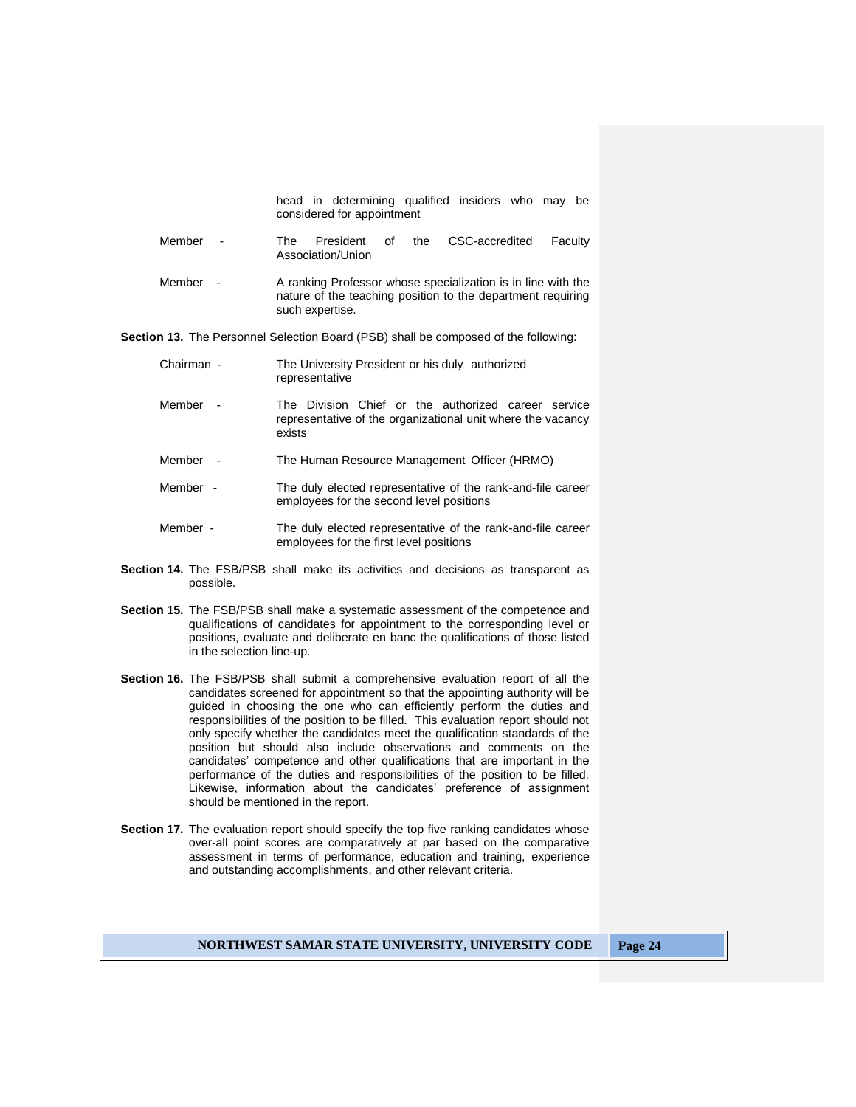head in determining qualified insiders who may be considered for appointment

- Member The President of the CSC-accredited Faculty Association/Union
- Member A ranking Professor whose specialization is in line with the nature of the teaching position to the department requiring such expertise.

**Section 13.** The Personnel Selection Board (PSB) shall be composed of the following:

| Chairman - |        | The University President or his duly authorized<br>representative                                                            |  |
|------------|--------|------------------------------------------------------------------------------------------------------------------------------|--|
| Member     | $\sim$ | The Division Chief or the authorized career service<br>representative of the organizational unit where the vacancy<br>exists |  |
| Member     |        | The Human Resource Management Officer (HRMO)                                                                                 |  |

- Member The duly elected representative of the rank-and-file career employees for the second level positions
- Member The duly elected representative of the rank-and-file career employees for the first level positions
- **Section 14.** The FSB/PSB shall make its activities and decisions as transparent as possible.
- **Section 15.** The FSB/PSB shall make a systematic assessment of the competence and qualifications of candidates for appointment to the corresponding level or positions, evaluate and deliberate en banc the qualifications of those listed in the selection line-up.
- **Section 16.** The FSB/PSB shall submit a comprehensive evaluation report of all the candidates screened for appointment so that the appointing authority will be guided in choosing the one who can efficiently perform the duties and responsibilities of the position to be filled. This evaluation report should not only specify whether the candidates meet the qualification standards of the position but should also include observations and comments on the candidates' competence and other qualifications that are important in the performance of the duties and responsibilities of the position to be filled. Likewise, information about the candidates' preference of assignment should be mentioned in the report.
- **Section 17.** The evaluation report should specify the top five ranking candidates whose over-all point scores are comparatively at par based on the comparative assessment in terms of performance, education and training, experience and outstanding accomplishments, and other relevant criteria.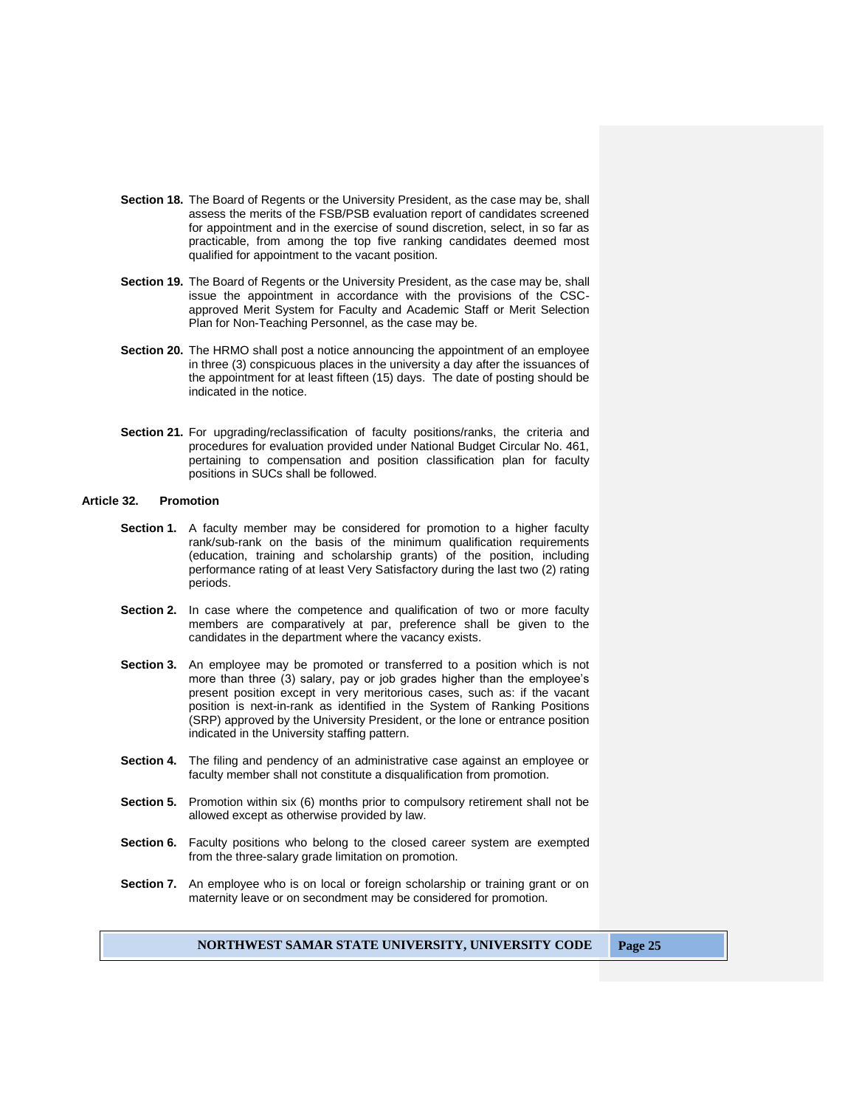- **Section 18.** The Board of Regents or the University President, as the case may be, shall assess the merits of the FSB/PSB evaluation report of candidates screened for appointment and in the exercise of sound discretion, select, in so far as practicable, from among the top five ranking candidates deemed most qualified for appointment to the vacant position.
- **Section 19.** The Board of Regents or the University President, as the case may be, shall issue the appointment in accordance with the provisions of the CSCapproved Merit System for Faculty and Academic Staff or Merit Selection Plan for Non-Teaching Personnel, as the case may be.
- **Section 20.** The HRMO shall post a notice announcing the appointment of an employee in three (3) conspicuous places in the university a day after the issuances of the appointment for at least fifteen (15) days. The date of posting should be indicated in the notice.
- Section 21. For upgrading/reclassification of faculty positions/ranks, the criteria and procedures for evaluation provided under National Budget Circular No. 461, pertaining to compensation and position classification plan for faculty positions in SUCs shall be followed.

## **Article 32. Promotion**

- **Section 1.** A faculty member may be considered for promotion to a higher faculty rank/sub-rank on the basis of the minimum qualification requirements (education, training and scholarship grants) of the position, including performance rating of at least Very Satisfactory during the last two (2) rating periods.
- **Section 2.** In case where the competence and qualification of two or more faculty members are comparatively at par, preference shall be given to the candidates in the department where the vacancy exists.
- **Section 3.** An employee may be promoted or transferred to a position which is not more than three (3) salary, pay or job grades higher than the employee's present position except in very meritorious cases, such as: if the vacant position is next-in-rank as identified in the System of Ranking Positions (SRP) approved by the University President, or the lone or entrance position indicated in the University staffing pattern.
- **Section 4.** The filing and pendency of an administrative case against an employee or faculty member shall not constitute a disqualification from promotion.
- **Section 5.** Promotion within six (6) months prior to compulsory retirement shall not be allowed except as otherwise provided by law.
- **Section 6.** Faculty positions who belong to the closed career system are exempted from the three-salary grade limitation on promotion.
- **Section 7.** An employee who is on local or foreign scholarship or training grant or on maternity leave or on secondment may be considered for promotion.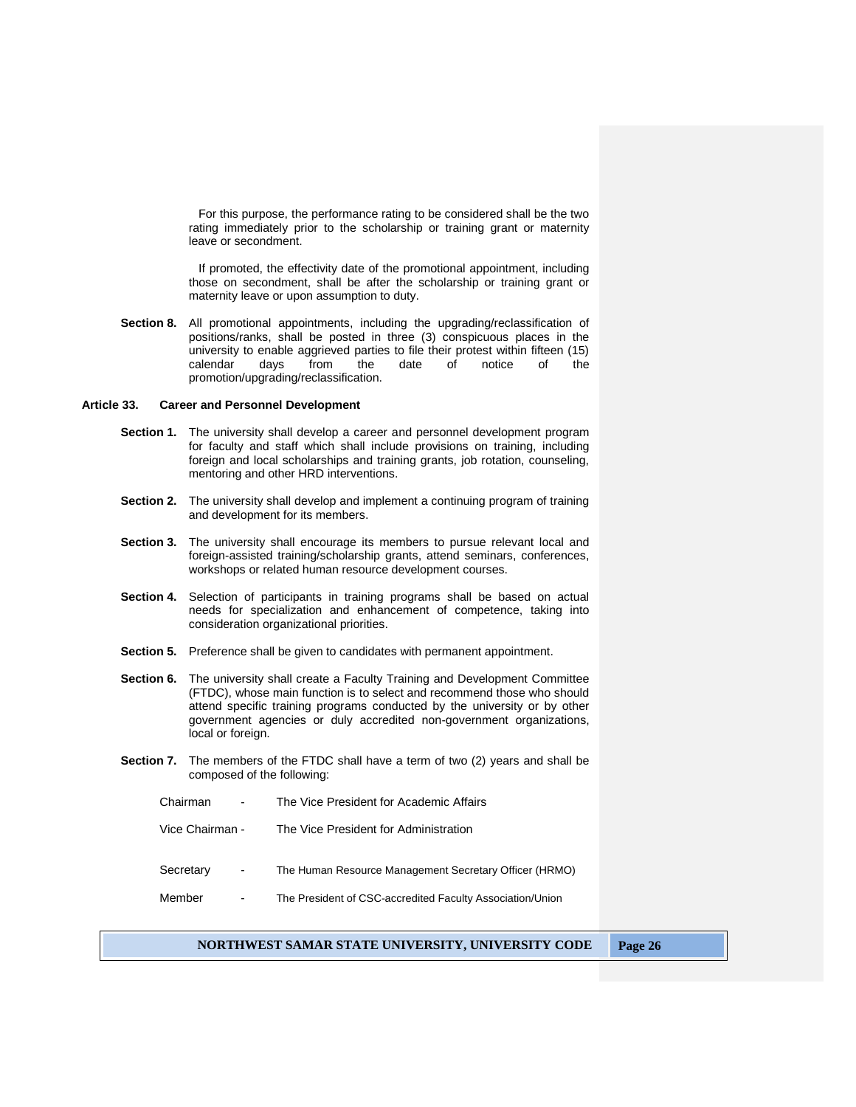For this purpose, the performance rating to be considered shall be the two rating immediately prior to the scholarship or training grant or maternity leave or secondment.

If promoted, the effectivity date of the promotional appointment, including those on secondment, shall be after the scholarship or training grant or maternity leave or upon assumption to duty.

**Section 8.** All promotional appointments, including the upgrading/reclassification of positions/ranks, shall be posted in three (3) conspicuous places in the university to enable aggrieved parties to file their protest within fifteen (15) calendar days from the date of notice of the promotion/upgrading/reclassification.

#### **Article 33. Career and Personnel Development**

- **Section 1.** The university shall develop a career and personnel development program for faculty and staff which shall include provisions on training, including foreign and local scholarships and training grants, job rotation, counseling, mentoring and other HRD interventions.
- **Section 2.** The university shall develop and implement a continuing program of training and development for its members.
- **Section 3.** The university shall encourage its members to pursue relevant local and foreign-assisted training/scholarship grants, attend seminars, conferences, workshops or related human resource development courses.
- **Section 4.** Selection of participants in training programs shall be based on actual needs for specialization and enhancement of competence, taking into consideration organizational priorities.
- **Section 5.** Preference shall be given to candidates with permanent appointment.
- **Section 6.** The university shall create a Faculty Training and Development Committee (FTDC), whose main function is to select and recommend those who should attend specific training programs conducted by the university or by other government agencies or duly accredited non-government organizations, local or foreign.
- **Section 7.** The members of the FTDC shall have a term of two (2) years and shall be composed of the following:
	- Chairman The Vice President for Academic Affairs
	- Vice Chairman The Vice President for Administration
	- Secretary The Human Resource Management Secretary Officer (HRMO)
	- Member The President of CSC-accredited Faculty Association/Union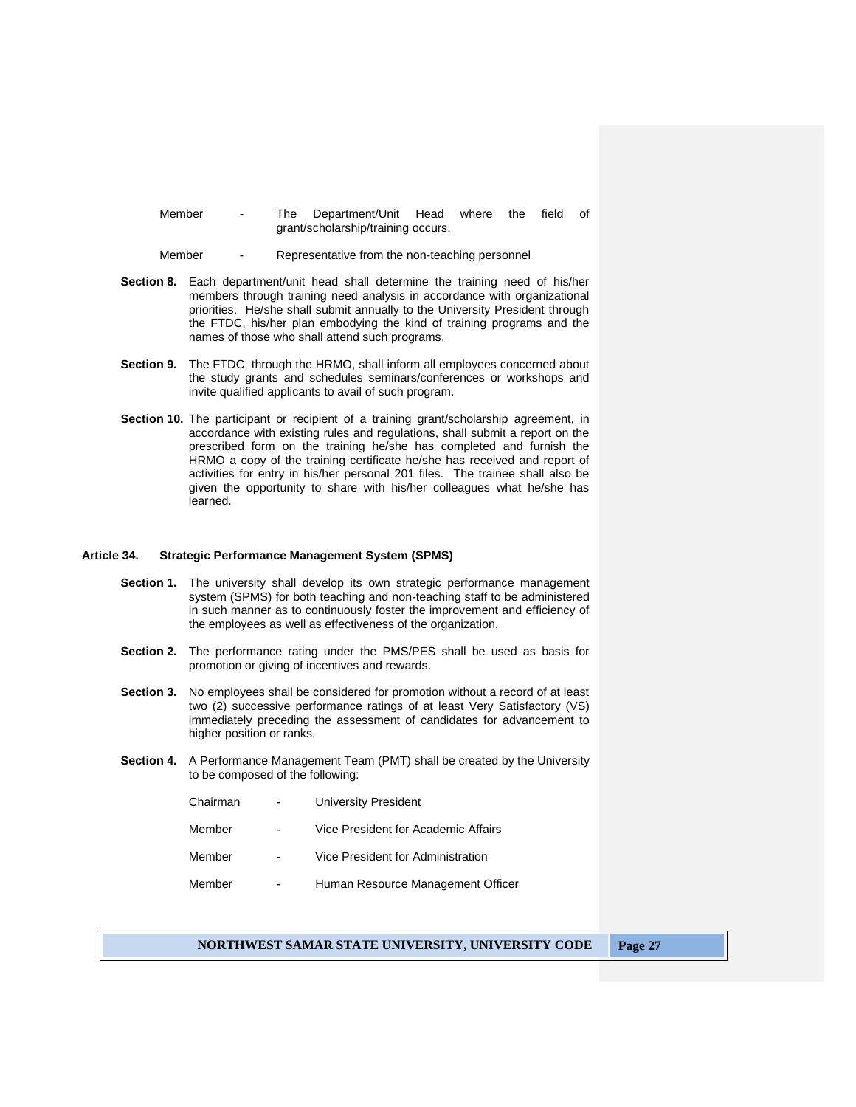- Member The Department/Unit Head where the field of grant/scholarship/training occurs.
- Member Representative from the non-teaching personnel
- **Section 8.** Each department/unit head shall determine the training need of his/her members through training need analysis in accordance with organizational priorities. He/she shall submit annually to the University President through the FTDC, his/her plan embodying the kind of training programs and the names of those who shall attend such programs.
- **Section 9.** The FTDC, through the HRMO, shall inform all employees concerned about the study grants and schedules seminars/conferences or workshops and invite qualified applicants to avail of such program.
- **Section 10.** The participant or recipient of a training grant/scholarship agreement, in accordance with existing rules and regulations, shall submit a report on the prescribed form on the training he/she has completed and furnish the HRMO a copy of the training certificate he/she has received and report of activities for entry in his/her personal 201 files. The trainee shall also be given the opportunity to share with his/her colleagues what he/she has learned.

#### **Article 34. Strategic Performance Management System (SPMS)**

- **Section 1.** The university shall develop its own strategic performance management system (SPMS) for both teaching and non-teaching staff to be administered in such manner as to continuously foster the improvement and efficiency of the employees as well as effectiveness of the organization.
- **Section 2.** The performance rating under the PMS/PES shall be used as basis for promotion or giving of incentives and rewards.
- **Section 3.** No employees shall be considered for promotion without a record of at least two (2) successive performance ratings of at least Very Satisfactory (VS) immediately preceding the assessment of candidates for advancement to higher position or ranks.
- **Section 4.** A Performance Management Team (PMT) shall be created by the University to be composed of the following:

| Chairman |   | University President                |
|----------|---|-------------------------------------|
| Member   |   | Vice President for Academic Affairs |
| Member   |   | Vice President for Administration   |
| Member   | - | Human Resource Management Officer   |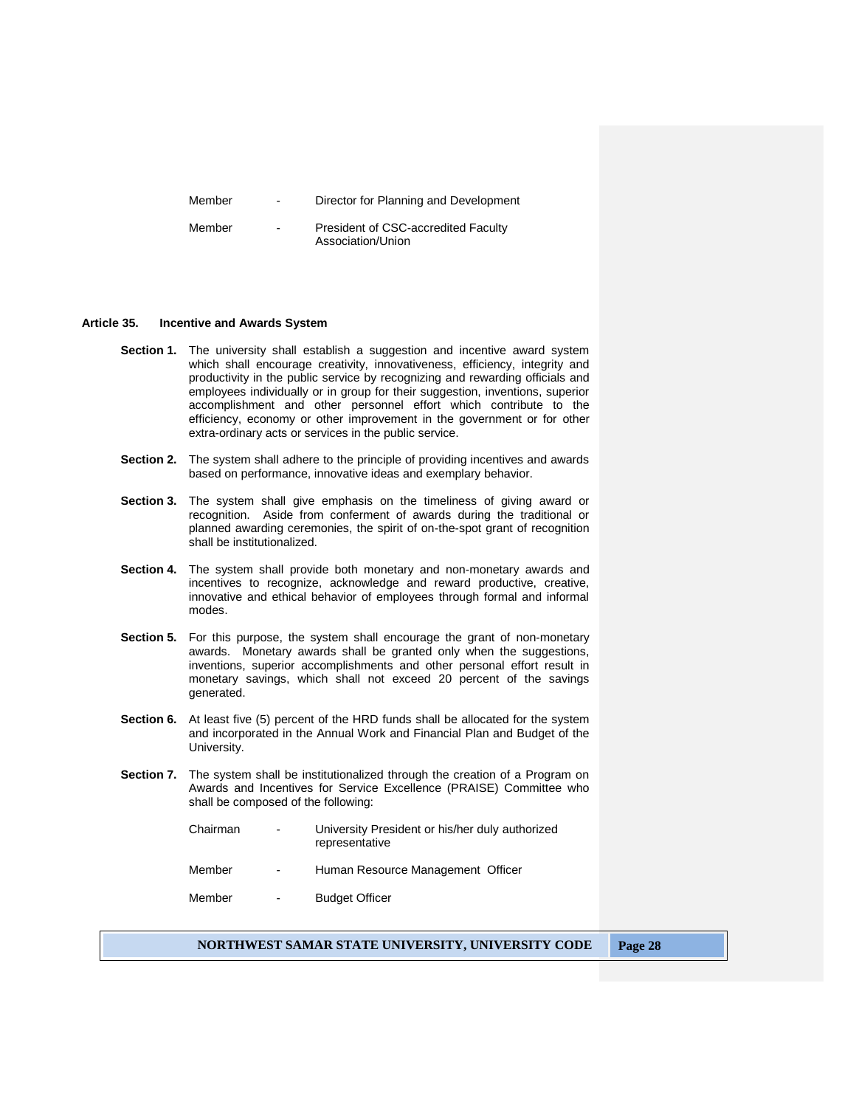Member - Director for Planning and Development

Member - President of CSC-accredited Faculty Association/Union

## **Article 35. Incentive and Awards System**

- **Section 1.** The university shall establish a suggestion and incentive award system which shall encourage creativity, innovativeness, efficiency, integrity and productivity in the public service by recognizing and rewarding officials and employees individually or in group for their suggestion, inventions, superior accomplishment and other personnel effort which contribute to the efficiency, economy or other improvement in the government or for other extra-ordinary acts or services in the public service.
- **Section 2.** The system shall adhere to the principle of providing incentives and awards based on performance, innovative ideas and exemplary behavior.
- **Section 3.** The system shall give emphasis on the timeliness of giving award or recognition. Aside from conferment of awards during the traditional or planned awarding ceremonies, the spirit of on-the-spot grant of recognition shall be institutionalized.
- **Section 4.** The system shall provide both monetary and non-monetary awards and incentives to recognize, acknowledge and reward productive, creative, innovative and ethical behavior of employees through formal and informal modes.
- **Section 5.** For this purpose, the system shall encourage the grant of non-monetary awards. Monetary awards shall be granted only when the suggestions, inventions, superior accomplishments and other personal effort result in monetary savings, which shall not exceed 20 percent of the savings generated.
- **Section 6.** At least five (5) percent of the HRD funds shall be allocated for the system and incorporated in the Annual Work and Financial Plan and Budget of the University.
- **Section 7.** The system shall be institutionalized through the creation of a Program on Awards and Incentives for Service Excellence (PRAISE) Committee who shall be composed of the following:

| Chairman | $\sim$                   | University President or his/her duly authorized<br>representative |
|----------|--------------------------|-------------------------------------------------------------------|
| Member   | $\overline{\phantom{0}}$ | Human Resource Management Officer                                 |
| Member   | $\overline{\phantom{0}}$ | <b>Budget Officer</b>                                             |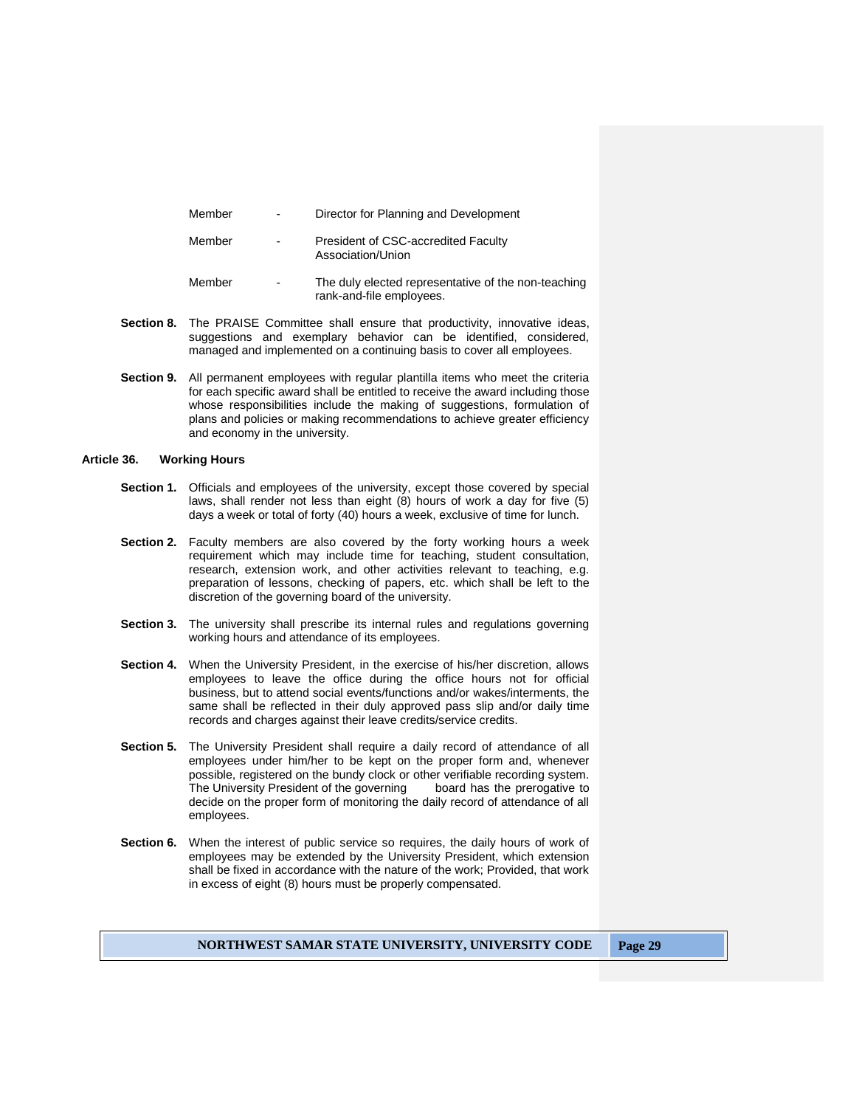| Member | ٠ | Director for Planning and Development                                           |
|--------|---|---------------------------------------------------------------------------------|
| Member | - | President of CSC-accredited Faculty<br>Association/Union                        |
| Member | ۰ | The duly elected representative of the non-teaching<br>rank-and-file employees. |

- **Section 8.** The PRAISE Committee shall ensure that productivity, innovative ideas, suggestions and exemplary behavior can be identified, considered, managed and implemented on a continuing basis to cover all employees.
- **Section 9.** All permanent employees with regular plantilla items who meet the criteria for each specific award shall be entitled to receive the award including those whose responsibilities include the making of suggestions, formulation of plans and policies or making recommendations to achieve greater efficiency and economy in the university.

## **Article 36. Working Hours**

- **Section 1.** Officials and employees of the university, except those covered by special laws, shall render not less than eight (8) hours of work a day for five (5) days a week or total of forty (40) hours a week, exclusive of time for lunch.
- **Section 2.** Faculty members are also covered by the forty working hours a week requirement which may include time for teaching, student consultation, research, extension work, and other activities relevant to teaching, e.g. preparation of lessons, checking of papers, etc. which shall be left to the discretion of the governing board of the university.
- **Section 3.** The university shall prescribe its internal rules and regulations governing working hours and attendance of its employees.
- **Section 4.** When the University President, in the exercise of his/her discretion, allows employees to leave the office during the office hours not for official business, but to attend social events/functions and/or wakes/interments, the same shall be reflected in their duly approved pass slip and/or daily time records and charges against their leave credits/service credits.
- **Section 5.** The University President shall require a daily record of attendance of all employees under him/her to be kept on the proper form and, whenever possible, registered on the bundy clock or other verifiable recording system. The University President of the governing board has the prerogative to decide on the proper form of monitoring the daily record of attendance of all employees.
- **Section 6.** When the interest of public service so requires, the daily hours of work of employees may be extended by the University President, which extension shall be fixed in accordance with the nature of the work; Provided, that work in excess of eight (8) hours must be properly compensated.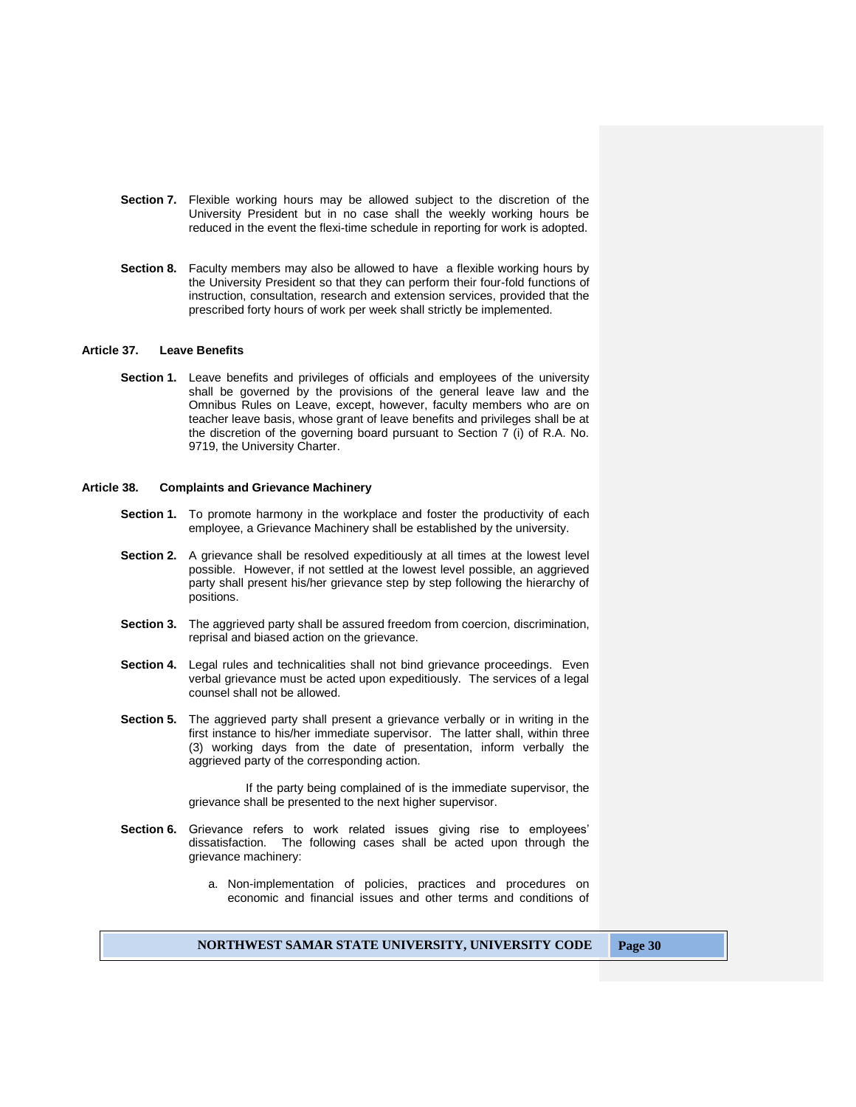- **Section 7.** Flexible working hours may be allowed subject to the discretion of the University President but in no case shall the weekly working hours be reduced in the event the flexi-time schedule in reporting for work is adopted.
- **Section 8.** Faculty members may also be allowed to have a flexible working hours by the University President so that they can perform their four-fold functions of instruction, consultation, research and extension services, provided that the prescribed forty hours of work per week shall strictly be implemented.

#### **Article 37. Leave Benefits**

**Section 1.** Leave benefits and privileges of officials and employees of the university shall be governed by the provisions of the general leave law and the Omnibus Rules on Leave, except, however, faculty members who are on teacher leave basis, whose grant of leave benefits and privileges shall be at the discretion of the governing board pursuant to Section 7 (i) of R.A. No. 9719, the University Charter.

#### **Article 38. Complaints and Grievance Machinery**

- **Section 1.** To promote harmony in the workplace and foster the productivity of each employee, a Grievance Machinery shall be established by the university.
- **Section 2.** A grievance shall be resolved expeditiously at all times at the lowest level possible. However, if not settled at the lowest level possible, an aggrieved party shall present his/her grievance step by step following the hierarchy of positions.
- **Section 3.** The aggrieved party shall be assured freedom from coercion, discrimination, reprisal and biased action on the grievance.
- **Section 4.** Legal rules and technicalities shall not bind grievance proceedings. Even verbal grievance must be acted upon expeditiously. The services of a legal counsel shall not be allowed.
- **Section 5.** The aggrieved party shall present a grievance verbally or in writing in the first instance to his/her immediate supervisor. The latter shall, within three (3) working days from the date of presentation, inform verbally the aggrieved party of the corresponding action.

If the party being complained of is the immediate supervisor, the grievance shall be presented to the next higher supervisor.

- **Section 6.** Grievance refers to work related issues giving rise to employees' dissatisfaction. The following cases shall be acted upon through the grievance machinery:
	- a. Non-implementation of policies, practices and procedures on economic and financial issues and other terms and conditions of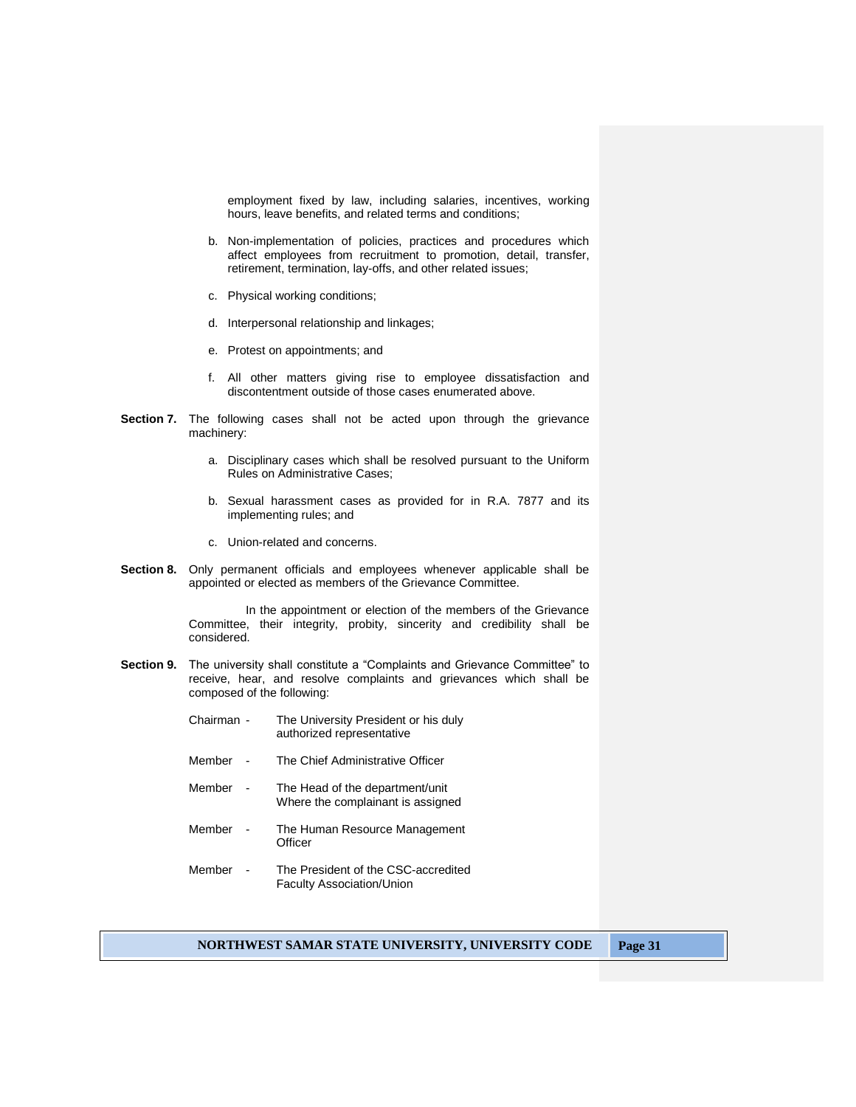employment fixed by law, including salaries, incentives, working hours, leave benefits, and related terms and conditions;

- b. Non-implementation of policies, practices and procedures which affect employees from recruitment to promotion, detail, transfer, retirement, termination, lay-offs, and other related issues;
- c. Physical working conditions;
- d. Interpersonal relationship and linkages;
- e. Protest on appointments; and
- f. All other matters giving rise to employee dissatisfaction and discontentment outside of those cases enumerated above.
- **Section 7.** The following cases shall not be acted upon through the grievance machinery:
	- a. Disciplinary cases which shall be resolved pursuant to the Uniform Rules on Administrative Cases;
	- b. Sexual harassment cases as provided for in R.A. 7877 and its implementing rules; and
	- c. Union-related and concerns.
- **Section 8.** Only permanent officials and employees whenever applicable shall be appointed or elected as members of the Grievance Committee.

In the appointment or election of the members of the Grievance Committee, their integrity, probity, sincerity and credibility shall be considered.

- **Section 9.** The university shall constitute a "Complaints and Grievance Committee" to receive, hear, and resolve complaints and grievances which shall be composed of the following:
	- Chairman The University President or his duly authorized representative
	- Member The Chief Administrative Officer
	- Member The Head of the department/unit Where the complainant is assigned
	- Member The Human Resource Management **Officer**
	- Member The President of the CSC-accredited Faculty Association/Union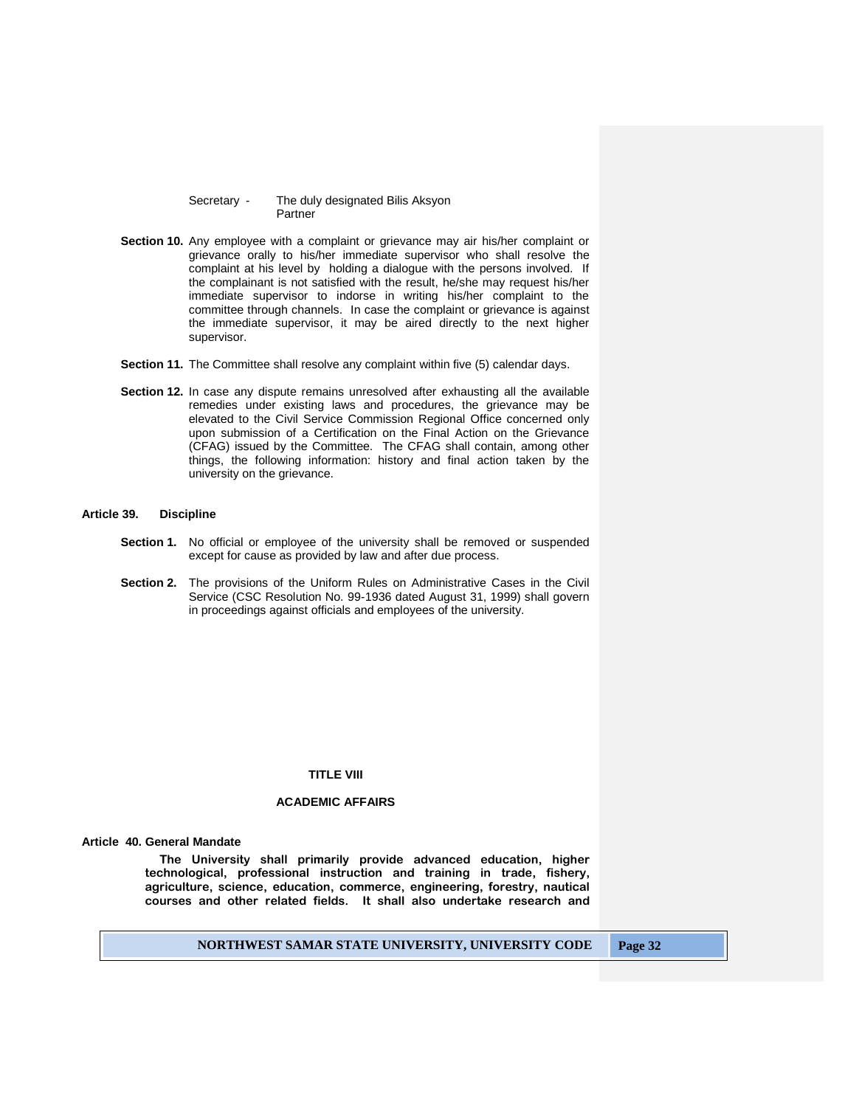Secretary - The duly designated Bilis Aksyon **Partner** 

- **Section 10.** Any employee with a complaint or grievance may air his/her complaint or grievance orally to his/her immediate supervisor who shall resolve the complaint at his level by holding a dialogue with the persons involved. If the complainant is not satisfied with the result, he/she may request his/her immediate supervisor to indorse in writing his/her complaint to the committee through channels. In case the complaint or grievance is against the immediate supervisor, it may be aired directly to the next higher supervisor.
- **Section 11.** The Committee shall resolve any complaint within five (5) calendar days.
- **Section 12.** In case any dispute remains unresolved after exhausting all the available remedies under existing laws and procedures, the grievance may be elevated to the Civil Service Commission Regional Office concerned only upon submission of a Certification on the Final Action on the Grievance (CFAG) issued by the Committee. The CFAG shall contain, among other things, the following information: history and final action taken by the university on the grievance.

## **Article 39. Discipline**

- **Section 1.** No official or employee of the university shall be removed or suspended except for cause as provided by law and after due process.
- **Section 2.** The provisions of the Uniform Rules on Administrative Cases in the Civil Service (CSC Resolution No. 99-1936 dated August 31, 1999) shall govern in proceedings against officials and employees of the university.

#### **TITLE VIII**

# **ACADEMIC AFFAIRS**

#### **Article 40. General Mandate**

**The University shall primarily provide advanced education, higher technological, professional instruction and training in trade, fishery, agriculture, science, education, commerce, engineering, forestry, nautical courses and other related fields. It shall also undertake research and**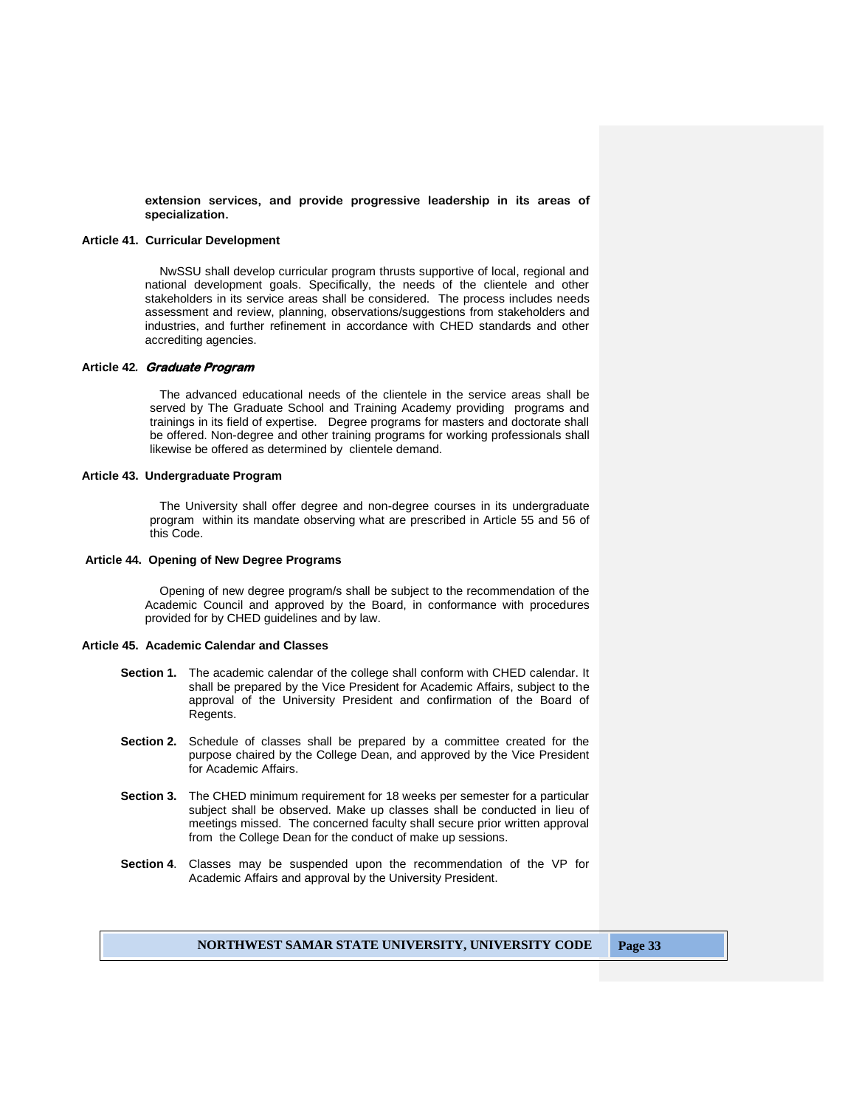**extension services, and provide progressive leadership in its areas of specialization.**

## **Article 41. Curricular Development**

NwSSU shall develop curricular program thrusts supportive of local, regional and national development goals. Specifically, the needs of the clientele and other stakeholders in its service areas shall be considered. The process includes needs assessment and review, planning, observations/suggestions from stakeholders and industries, and further refinement in accordance with CHED standards and other accrediting agencies.

## **Article 42***.* **Graduate Program**

The advanced educational needs of the clientele in the service areas shall be served by The Graduate School and Training Academy providing programs and trainings in its field of expertise. Degree programs for masters and doctorate shall be offered. Non-degree and other training programs for working professionals shall likewise be offered as determined by clientele demand.

## **Article 43. Undergraduate Program**

The University shall offer degree and non-degree courses in its undergraduate program within its mandate observing what are prescribed in Article 55 and 56 of this Code.

#### **Article 44. Opening of New Degree Programs**

Opening of new degree program/s shall be subject to the recommendation of the Academic Council and approved by the Board, in conformance with procedures provided for by CHED guidelines and by law.

#### **Article 45. Academic Calendar and Classes**

- **Section 1.** The academic calendar of the college shall conform with CHED calendar. It shall be prepared by the Vice President for Academic Affairs, subject to the approval of the University President and confirmation of the Board of Regents.
- **Section 2.** Schedule of classes shall be prepared by a committee created for the purpose chaired by the College Dean, and approved by the Vice President for Academic Affairs.
- **Section 3.** The CHED minimum requirement for 18 weeks per semester for a particular subject shall be observed. Make up classes shall be conducted in lieu of meetings missed. The concerned faculty shall secure prior written approval from the College Dean for the conduct of make up sessions.
- **Section 4**. Classes may be suspended upon the recommendation of the VP for Academic Affairs and approval by the University President.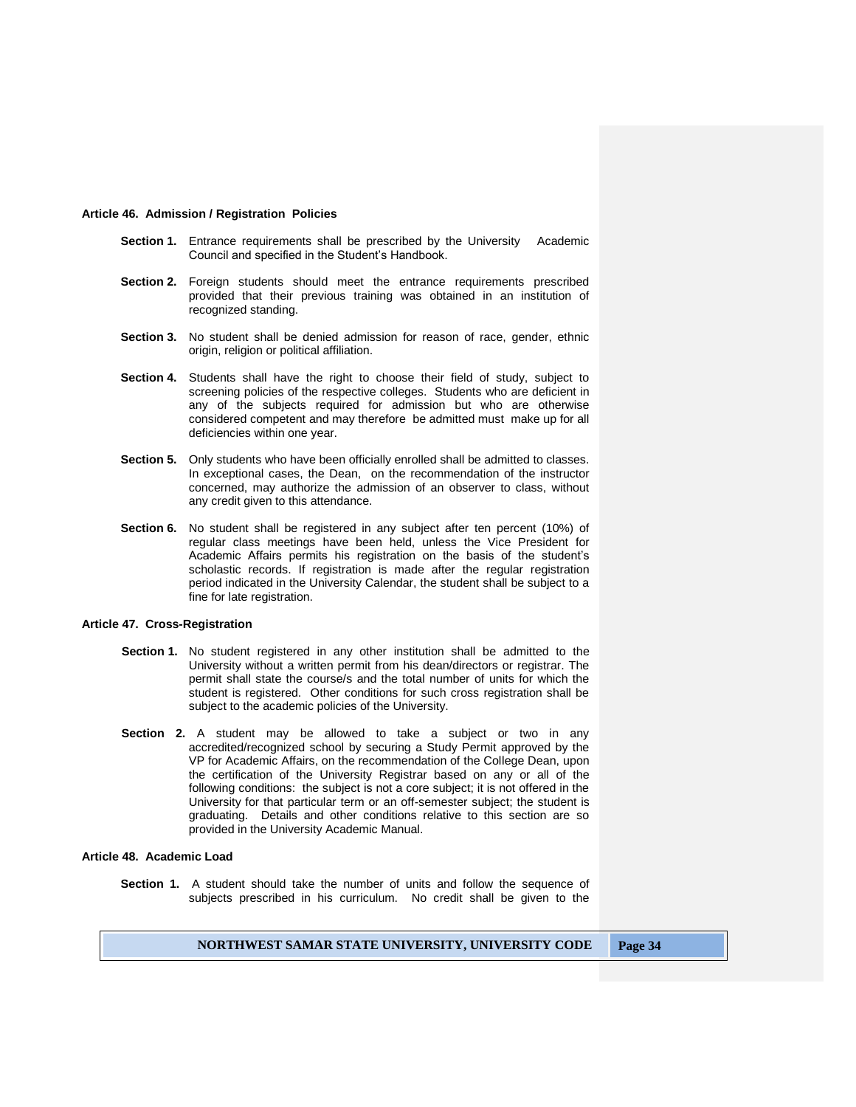#### **Article 46. Admission / Registration Policies**

- **Section 1.** Entrance requirements shall be prescribed by the University Academic Council and specified in the Student's Handbook.
- **Section 2.** Foreign students should meet the entrance requirements prescribed provided that their previous training was obtained in an institution of recognized standing.
- **Section 3.** No student shall be denied admission for reason of race, gender, ethnic origin, religion or political affiliation.
- **Section 4.** Students shall have the right to choose their field of study, subject to screening policies of the respective colleges. Students who are deficient in any of the subjects required for admission but who are otherwise considered competent and may therefore be admitted must make up for all deficiencies within one year.
- **Section 5.** Only students who have been officially enrolled shall be admitted to classes. In exceptional cases, the Dean, on the recommendation of the instructor concerned, may authorize the admission of an observer to class, without any credit given to this attendance.
- **Section 6.** No student shall be registered in any subject after ten percent (10%) of regular class meetings have been held, unless the Vice President for Academic Affairs permits his registration on the basis of the student's scholastic records. If registration is made after the regular registration period indicated in the University Calendar, the student shall be subject to a fine for late registration.

## **Article 47. Cross-Registration**

- **Section 1.** No student registered in any other institution shall be admitted to the University without a written permit from his dean/directors or registrar. The permit shall state the course/s and the total number of units for which the student is registered. Other conditions for such cross registration shall be subject to the academic policies of the University.
- **Section 2.** A student may be allowed to take a subject or two in any accredited/recognized school by securing a Study Permit approved by the VP for Academic Affairs, on the recommendation of the College Dean, upon the certification of the University Registrar based on any or all of the following conditions: the subject is not a core subject; it is not offered in the University for that particular term or an off-semester subject; the student is graduating. Details and other conditions relative to this section are so provided in the University Academic Manual.

#### **Article 48. Academic Load**

**Section 1.** A student should take the number of units and follow the sequence of subjects prescribed in his curriculum. No credit shall be given to the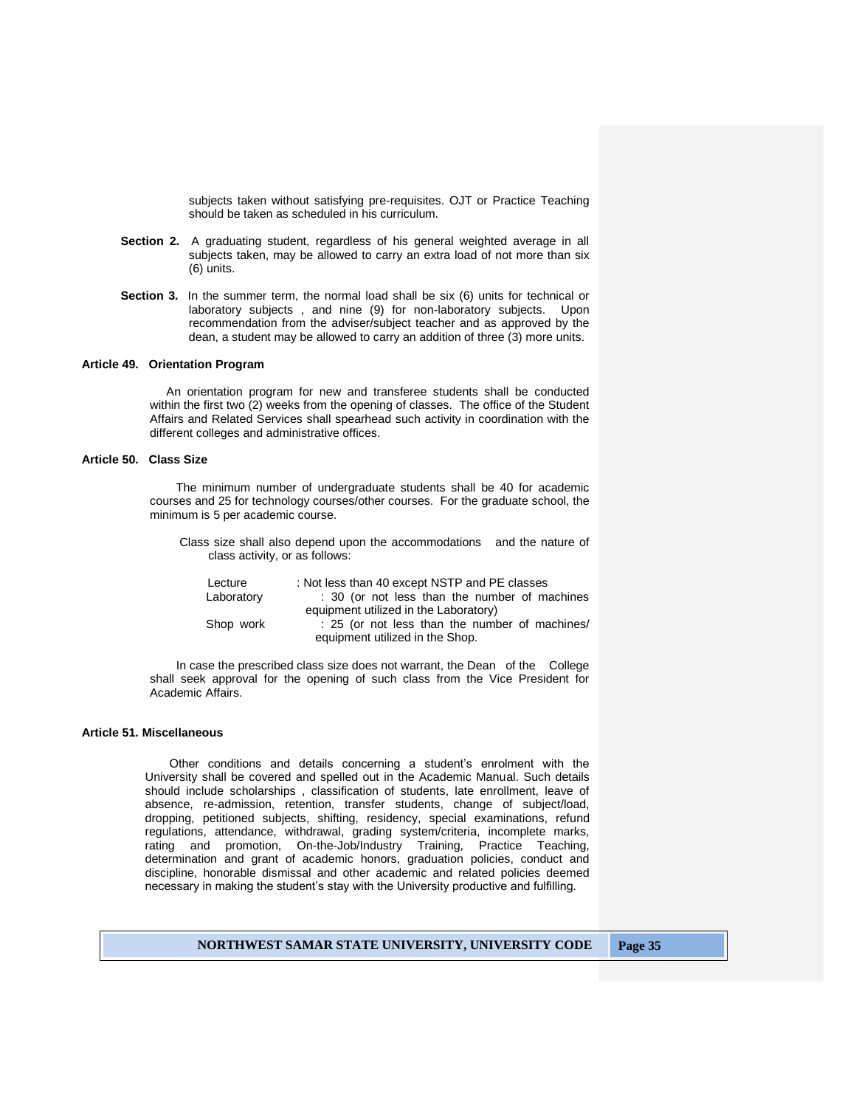subjects taken without satisfying pre-requisites. OJT or Practice Teaching should be taken as scheduled in his curriculum.

- **Section 2.** A graduating student, regardless of his general weighted average in all subjects taken, may be allowed to carry an extra load of not more than six (6) units.
- **Section 3.** In the summer term, the normal load shall be six (6) units for technical or laboratory subjects , and nine (9) for non-laboratory subjects. Upon recommendation from the adviser/subject teacher and as approved by the dean, a student may be allowed to carry an addition of three (3) more units.

## **Article 49. Orientation Program**

 An orientation program for new and transferee students shall be conducted within the first two (2) weeks from the opening of classes. The office of the Student Affairs and Related Services shall spearhead such activity in coordination with the different colleges and administrative offices.

#### **Article 50. Class Size**

The minimum number of undergraduate students shall be 40 for academic courses and 25 for technology courses/other courses. For the graduate school, the minimum is 5 per academic course.

 Class size shall also depend upon the accommodations and the nature of class activity, or as follows:

| Lecture    | : Not less than 40 except NSTP and PE classes  |
|------------|------------------------------------------------|
| Laboratory | : 30 (or not less than the number of machines  |
|            | equipment utilized in the Laboratory)          |
| Shop work  | : 25 (or not less than the number of machines/ |
|            | equipment utilized in the Shop.                |

 In case the prescribed class size does not warrant, the Dean of the College shall seek approval for the opening of such class from the Vice President for Academic Affairs.

# **Article 51. Miscellaneous**

Other conditions and details concerning a student's enrolment with the University shall be covered and spelled out in the Academic Manual. Such details should include scholarships , classification of students, late enrollment, leave of absence, re-admission, retention, transfer students, change of subject/load, dropping, petitioned subjects, shifting, residency, special examinations, refund regulations, attendance, withdrawal, grading system/criteria, incomplete marks, rating and promotion, On-the-Job/Industry Training, Practice Teaching, determination and grant of academic honors, graduation policies, conduct and discipline, honorable dismissal and other academic and related policies deemed necessary in making the student's stay with the University productive and fulfilling.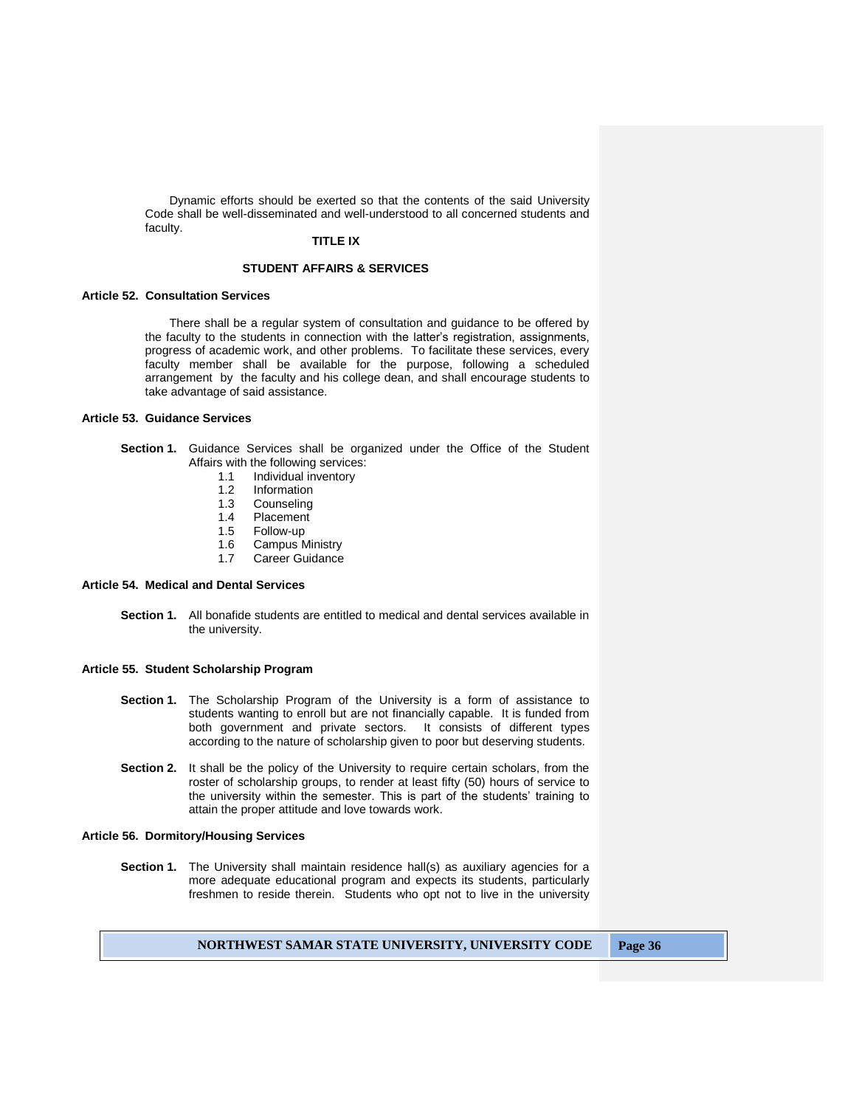Dynamic efforts should be exerted so that the contents of the said University Code shall be well-disseminated and well-understood to all concerned students and faculty.

## **TITLE IX**

## **STUDENT AFFAIRS & SERVICES**

#### **Article 52. Consultation Services**

There shall be a regular system of consultation and guidance to be offered by the faculty to the students in connection with the latter's registration, assignments, progress of academic work, and other problems. To facilitate these services, every faculty member shall be available for the purpose, following a scheduled arrangement by the faculty and his college dean, and shall encourage students to take advantage of said assistance.

## **Article 53. Guidance Services**

- **Section 1.** Guidance Services shall be organized under the Office of the Student Affairs with the following services:
	- 1.1 Individual inventory
	- 1.2 Information
	- 1.3 Counseling
	- 1.4 Placement
	- 1.5 Follow-up
	- 1.6 Campus Ministry
	- 1.7 Career Guidance

# **Article 54. Medical and Dental Services**

**Section 1.** All bonafide students are entitled to medical and dental services available in the university.

#### **Article 55. Student Scholarship Program**

- **Section 1.** The Scholarship Program of the University is a form of assistance to students wanting to enroll but are not financially capable. It is funded from both government and private sectors. It consists of different types according to the nature of scholarship given to poor but deserving students.
- **Section 2.** It shall be the policy of the University to require certain scholars, from the roster of scholarship groups, to render at least fifty (50) hours of service to the university within the semester. This is part of the students' training to attain the proper attitude and love towards work.

#### **Article 56. Dormitory/Housing Services**

**Section 1.** The University shall maintain residence hall(s) as auxiliary agencies for a more adequate educational program and expects its students, particularly freshmen to reside therein. Students who opt not to live in the university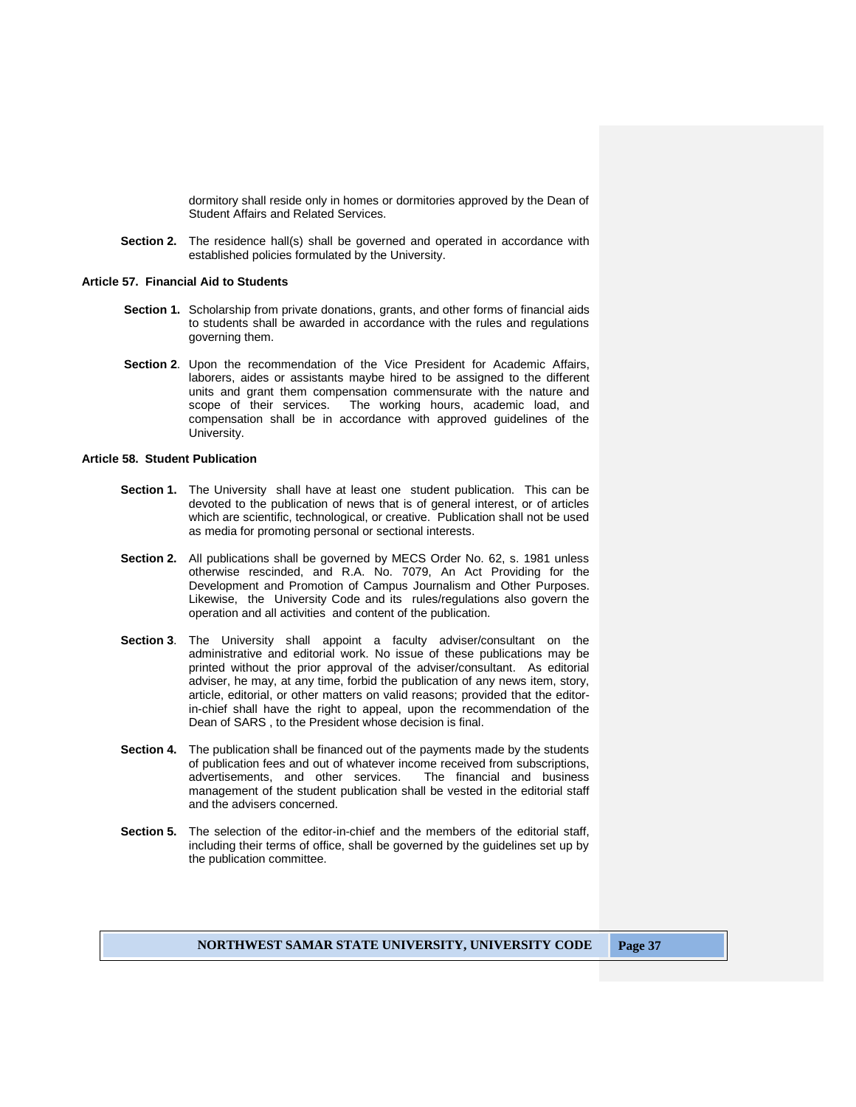dormitory shall reside only in homes or dormitories approved by the Dean of Student Affairs and Related Services.

**Section 2.** The residence hall(s) shall be governed and operated in accordance with established policies formulated by the University.

## **Article 57. Financial Aid to Students**

- **Section 1.** Scholarship from private donations, grants, and other forms of financial aids to students shall be awarded in accordance with the rules and regulations governing them.
- **Section 2**. Upon the recommendation of the Vice President for Academic Affairs, laborers, aides or assistants maybe hired to be assigned to the different units and grant them compensation commensurate with the nature and scope of their services. The working hours, academic load, and compensation shall be in accordance with approved guidelines of the University.

## **Article 58. Student Publication**

- **Section 1.** The University shall have at least one student publication. This can be devoted to the publication of news that is of general interest, or of articles which are scientific, technological, or creative. Publication shall not be used as media for promoting personal or sectional interests.
- **Section 2.** All publications shall be governed by MECS Order No. 62, s. 1981 unless otherwise rescinded, and R.A. No. 7079, An Act Providing for the Development and Promotion of Campus Journalism and Other Purposes. Likewise, the University Code and its rules/regulations also govern the operation and all activities and content of the publication.
- **Section 3**. The University shall appoint a faculty adviser/consultant on the administrative and editorial work. No issue of these publications may be printed without the prior approval of the adviser/consultant. As editorial adviser, he may, at any time, forbid the publication of any news item, story, article, editorial, or other matters on valid reasons; provided that the editorin-chief shall have the right to appeal, upon the recommendation of the Dean of SARS , to the President whose decision is final.
- **Section 4.** The publication shall be financed out of the payments made by the students of publication fees and out of whatever income received from subscriptions, advertisements, and other services. The financial and business advertisements, and other services. management of the student publication shall be vested in the editorial staff and the advisers concerned.
- **Section 5.** The selection of the editor-in-chief and the members of the editorial staff, including their terms of office, shall be governed by the guidelines set up by the publication committee.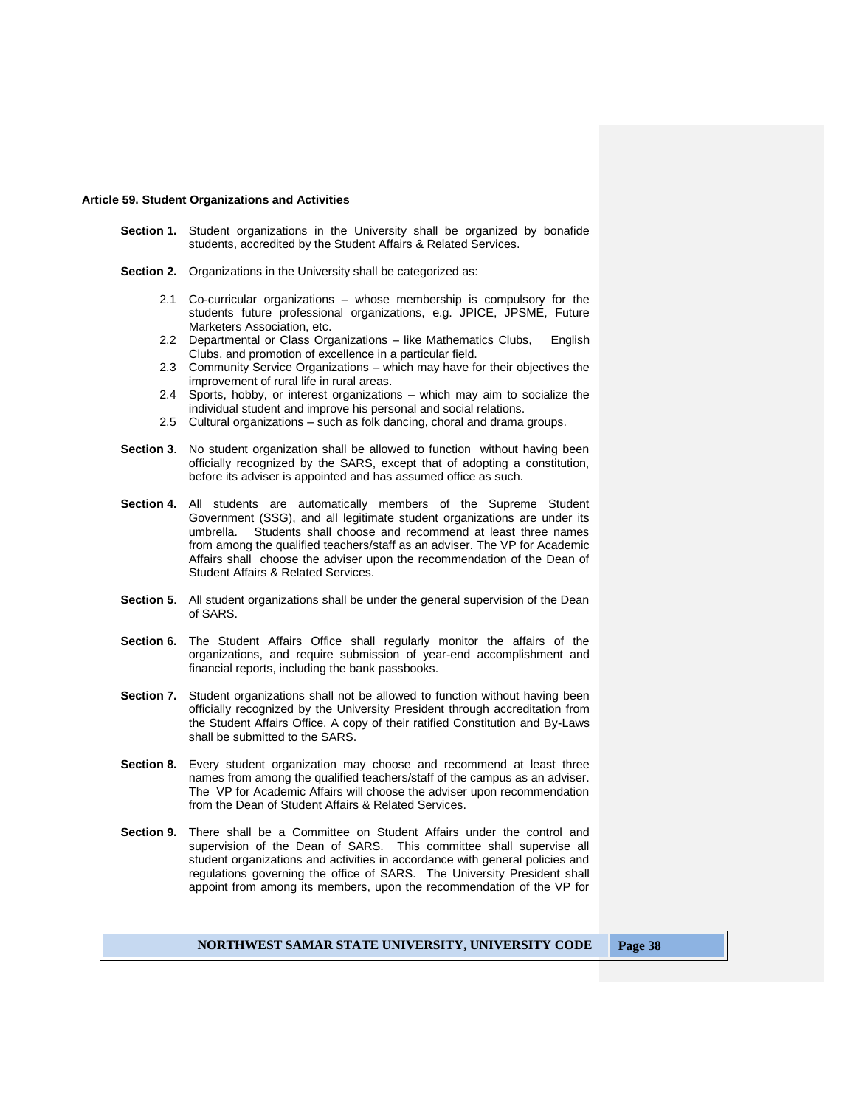## **Article 59. Student Organizations and Activities**

- **Section 1.** Student organizations in the University shall be organized by bonafide students, accredited by the Student Affairs & Related Services.
- **Section 2.** Organizations in the University shall be categorized as:
	- 2.1 Co-curricular organizations whose membership is compulsory for the students future professional organizations, e.g. JPICE, JPSME, Future Marketers Association, etc.
	- 2.2 Departmental or Class Organizations like Mathematics Clubs, English Clubs, and promotion of excellence in a particular field.
	- 2.3 Community Service Organizations which may have for their objectives the improvement of rural life in rural areas.
	- 2.4 Sports, hobby, or interest organizations which may aim to socialize the individual student and improve his personal and social relations.
	- 2.5 Cultural organizations such as folk dancing, choral and drama groups.
- **Section 3**. No student organization shall be allowed to function without having been officially recognized by the SARS, except that of adopting a constitution, before its adviser is appointed and has assumed office as such.
- **Section 4.** All students are automatically members of the Supreme Student Government (SSG), and all legitimate student organizations are under its umbrella. Students shall choose and recommend at least three names from among the qualified teachers/staff as an adviser. The VP for Academic Affairs shall choose the adviser upon the recommendation of the Dean of Student Affairs & Related Services.
- **Section 5**. All student organizations shall be under the general supervision of the Dean of SARS.
- **Section 6.** The Student Affairs Office shall regularly monitor the affairs of the organizations, and require submission of year-end accomplishment and financial reports, including the bank passbooks.
- **Section 7.** Student organizations shall not be allowed to function without having been officially recognized by the University President through accreditation from the Student Affairs Office. A copy of their ratified Constitution and By-Laws shall be submitted to the SARS.
- **Section 8.** Every student organization may choose and recommend at least three names from among the qualified teachers/staff of the campus as an adviser. The VP for Academic Affairs will choose the adviser upon recommendation from the Dean of Student Affairs & Related Services.
- Section 9. There shall be a Committee on Student Affairs under the control and supervision of the Dean of SARS. This committee shall supervise all student organizations and activities in accordance with general policies and regulations governing the office of SARS. The University President shall appoint from among its members, upon the recommendation of the VP for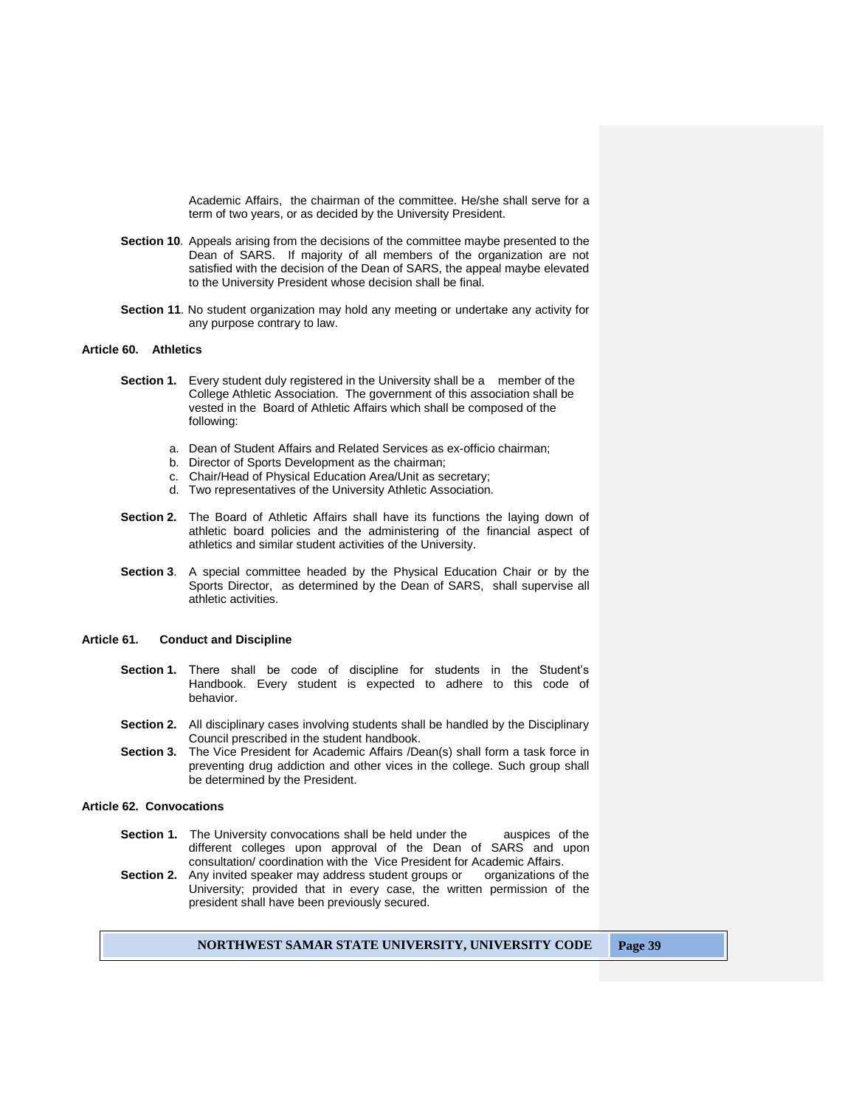Academic Affairs, the chairman of the committee. He/she shall serve for a term of two years, or as decided by the University President.

- **Section 10**. Appeals arising from the decisions of the committee maybe presented to the Dean of SARS. If majority of all members of the organization are not satisfied with the decision of the Dean of SARS, the appeal maybe elevated to the University President whose decision shall be final.
- **Section 11**. No student organization may hold any meeting or undertake any activity for any purpose contrary to law.

#### **Article 60. Athletics**

- **Section 1.** Every student duly registered in the University shall be a member of the College Athletic Association. The government of this association shall be vested in the Board of Athletic Affairs which shall be composed of the following:
	- a. Dean of Student Affairs and Related Services as ex-officio chairman;
	- b. Director of Sports Development as the chairman;
	- c. Chair/Head of Physical Education Area/Unit as secretary;
	- d. Two representatives of the University Athletic Association.
- **Section 2.** The Board of Athletic Affairs shall have its functions the laying down of athletic board policies and the administering of the financial aspect of athletics and similar student activities of the University.
- **Section 3**. A special committee headed by the Physical Education Chair or by the Sports Director, as determined by the Dean of SARS, shall supervise all athletic activities.

## **Article 61. Conduct and Discipline**

- Section 1. There shall be code of discipline for students in the Student's Handbook. Every student is expected to adhere to this code of behavior.
- **Section 2.** All disciplinary cases involving students shall be handled by the Disciplinary Council prescribed in the student handbook.
- **Section 3.** The Vice President for Academic Affairs /Dean(s) shall form a task force in preventing drug addiction and other vices in the college. Such group shall be determined by the President.

## **Article 62. Convocations**

- **Section 1.** The University convocations shall be held under the auspices of the different colleges upon approval of the Dean of SARS and upon consultation/ coordination with the Vice President for Academic Affairs.<br>Any invited speaker may address student groups or organizations of the
- **Section 2.** Any invited speaker may address student groups or University; provided that in every case, the written permission of the president shall have been previously secured.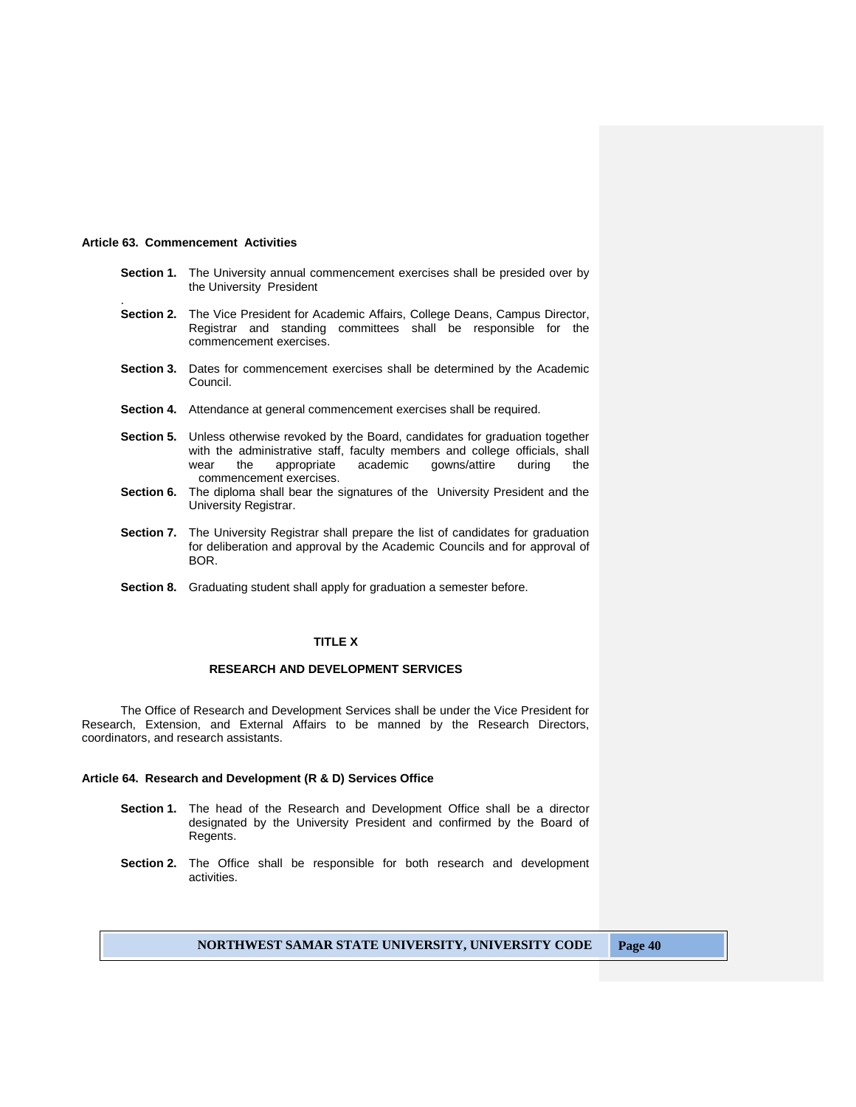#### **Article 63. Commencement Activities**

.

- **Section 1.** The University annual commencement exercises shall be presided over by the University President
- **Section 2.** The Vice President for Academic Affairs, College Deans, Campus Director, Registrar and standing committees shall be responsible for the commencement exercises.
- **Section 3.** Dates for commencement exercises shall be determined by the Academic Council.
- **Section 4.** Attendance at general commencement exercises shall be required.
- **Section 5.** Unless otherwise revoked by the Board, candidates for graduation together with the administrative staff, faculty members and college officials, shall wear the appropriate academic gowns/attire during the commencement exercises.
- **Section 6.** The diploma shall bear the signatures of the University President and the University Registrar.
- **Section 7.** The University Registrar shall prepare the list of candidates for graduation for deliberation and approval by the Academic Councils and for approval of BOR.
- **Section 8.** Graduating student shall apply for graduation a semester before.

## **TITLE X**

# **RESEARCH AND DEVELOPMENT SERVICES**

The Office of Research and Development Services shall be under the Vice President for Research, Extension, and External Affairs to be manned by the Research Directors, coordinators, and research assistants.

## **Article 64. Research and Development (R & D) Services Office**

- **Section 1.** The head of the Research and Development Office shall be a director designated by the University President and confirmed by the Board of Regents.
- **Section 2.** The Office shall be responsible for both research and development activities.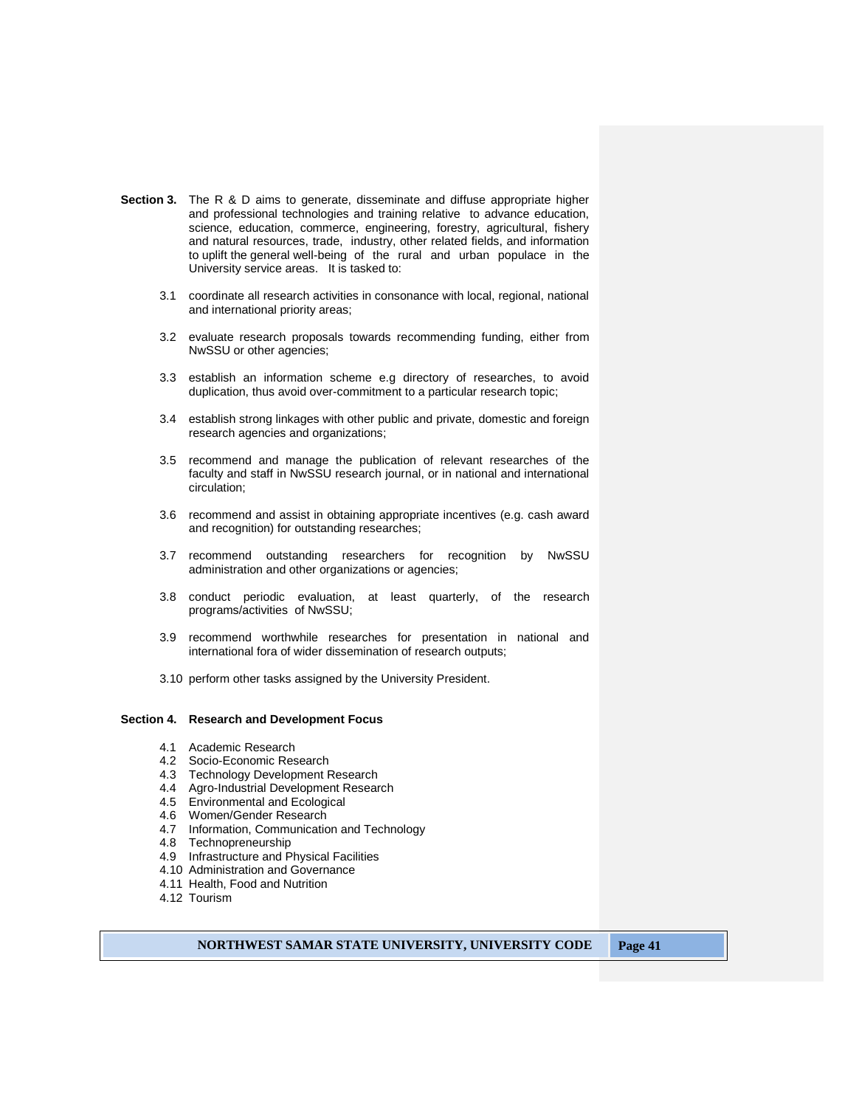- **Section 3.** The R & D aims to generate, disseminate and diffuse appropriate higher and professional technologies and training relative to advance education, science, education, commerce, engineering, forestry, agricultural, fishery and natural resources, trade, industry, other related fields, and information to uplift the general well-being of the rural and urban populace in the University service areas. It is tasked to:
	- 3.1 coordinate all research activities in consonance with local, regional, national and international priority areas;
	- 3.2 evaluate research proposals towards recommending funding, either from NwSSU or other agencies;
	- 3.3 establish an information scheme e.g directory of researches, to avoid duplication, thus avoid over-commitment to a particular research topic;
	- 3.4 establish strong linkages with other public and private, domestic and foreign research agencies and organizations;
	- 3.5 recommend and manage the publication of relevant researches of the faculty and staff in NwSSU research journal, or in national and international circulation;
	- 3.6 recommend and assist in obtaining appropriate incentives (e.g. cash award and recognition) for outstanding researches;
	- 3.7 recommend outstanding researchers for recognition by NwSSU administration and other organizations or agencies;
	- 3.8 conduct periodic evaluation, at least quarterly, of the research programs/activities of NwSSU;
	- 3.9 recommend worthwhile researches for presentation in national and international fora of wider dissemination of research outputs;
	- 3.10 perform other tasks assigned by the University President.

#### **Section 4. Research and Development Focus**

- 4.1 Academic Research
- 4.2 Socio-Economic Research
- 4.3 Technology Development Research
- 4.4 Agro-Industrial Development Research
- 4.5 Environmental and Ecological
- 4.6 Women/Gender Research
- 4.7 Information, Communication and Technology
- 4.8 Technopreneurship
- 4.9 Infrastructure and Physical Facilities
- 4.10 Administration and Governance
- 4.11 Health, Food and Nutrition
- 4.12 Tourism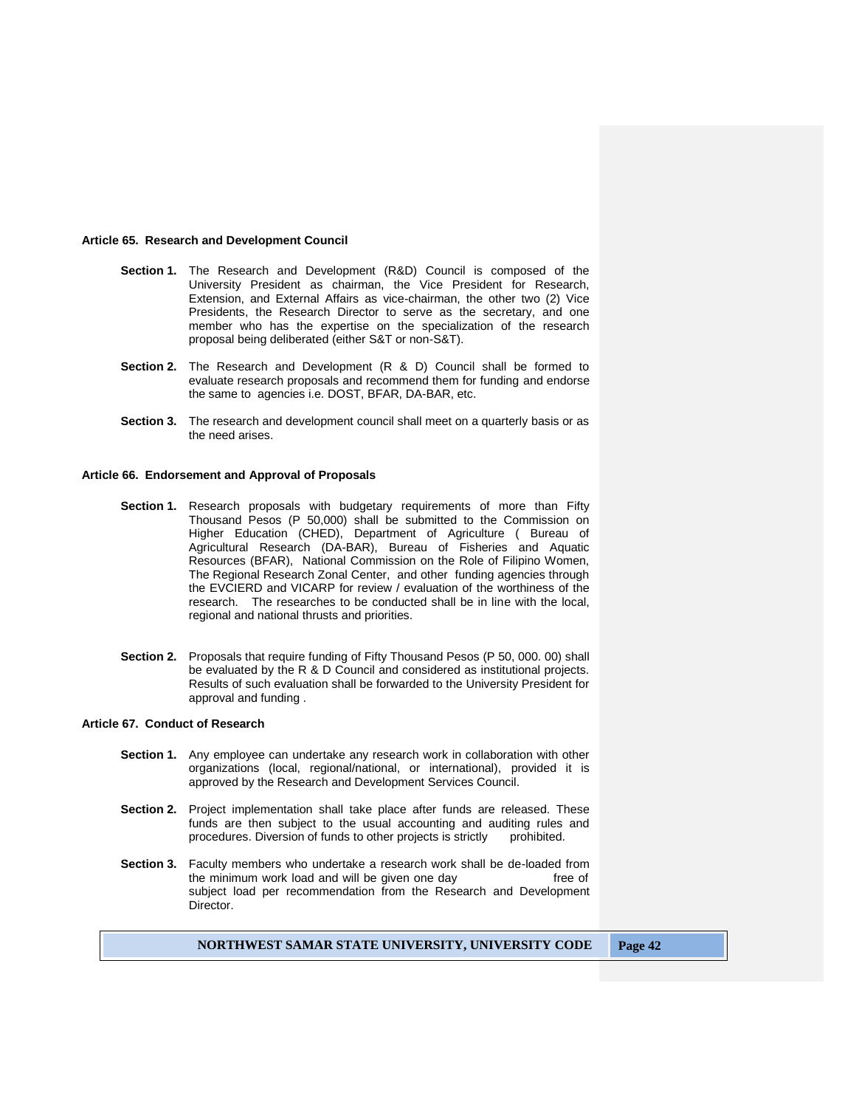#### **Article 65. Research and Development Council**

- **Section 1.** The Research and Development (R&D) Council is composed of the University President as chairman, the Vice President for Research, Extension, and External Affairs as vice-chairman, the other two (2) Vice Presidents, the Research Director to serve as the secretary, and one member who has the expertise on the specialization of the research proposal being deliberated (either S&T or non-S&T).
- **Section 2.** The Research and Development (R & D) Council shall be formed to evaluate research proposals and recommend them for funding and endorse the same to agencies i.e. DOST, BFAR, DA-BAR, etc.
- **Section 3.** The research and development council shall meet on a quarterly basis or as the need arises.

#### **Article 66. Endorsement and Approval of Proposals**

- **Section 1.** Research proposals with budgetary requirements of more than Fifty Thousand Pesos (P 50,000) shall be submitted to the Commission on Higher Education (CHED), Department of Agriculture ( Bureau of Agricultural Research (DA-BAR), Bureau of Fisheries and Aquatic Resources (BFAR), National Commission on the Role of Filipino Women, The Regional Research Zonal Center, and other funding agencies through the EVCIERD and VICARP for review / evaluation of the worthiness of the research. The researches to be conducted shall be in line with the local, regional and national thrusts and priorities.
- **Section 2.** Proposals that require funding of Fifty Thousand Pesos (P 50, 000. 00) shall be evaluated by the R & D Council and considered as institutional projects. Results of such evaluation shall be forwarded to the University President for approval and funding .

### **Article 67. Conduct of Research**

- **Section 1.** Any employee can undertake any research work in collaboration with other organizations (local, regional/national, or international), provided it is approved by the Research and Development Services Council.
- **Section 2.** Project implementation shall take place after funds are released. These funds are then subject to the usual accounting and auditing rules and procedures. Diversion of funds to other projects is strictly prohibited.
- **Section 3.** Faculty members who undertake a research work shall be de-loaded from the minimum work load and will be given one day free of subject load per recommendation from the Research and Development Director.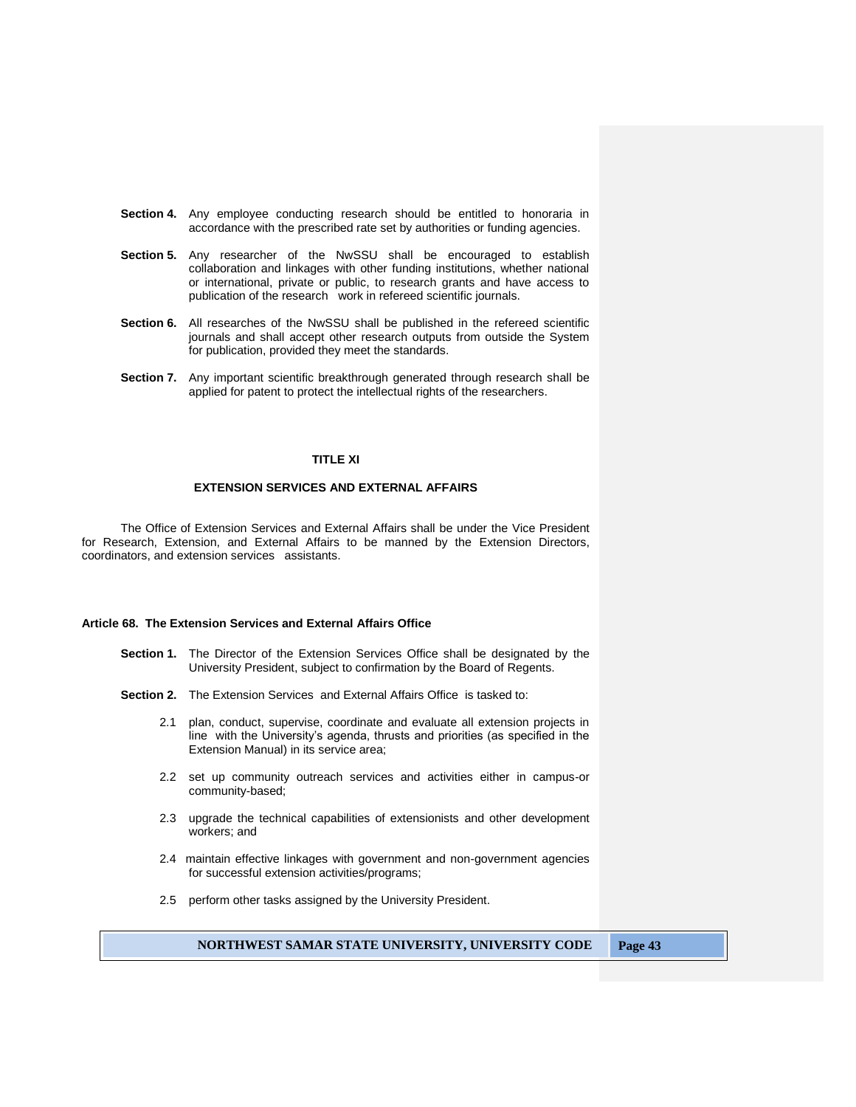- **Section 4.** Any employee conducting research should be entitled to honoraria in accordance with the prescribed rate set by authorities or funding agencies.
- **Section 5.** Any researcher of the NwSSU shall be encouraged to establish collaboration and linkages with other funding institutions, whether national or international, private or public, to research grants and have access to publication of the research work in refereed scientific journals.
- **Section 6.** All researches of the NwSSU shall be published in the refereed scientific journals and shall accept other research outputs from outside the System for publication, provided they meet the standards.
- **Section 7.** Any important scientific breakthrough generated through research shall be applied for patent to protect the intellectual rights of the researchers.

## **TITLE XI**

## **EXTENSION SERVICES AND EXTERNAL AFFAIRS**

The Office of Extension Services and External Affairs shall be under the Vice President for Research, Extension, and External Affairs to be manned by the Extension Directors, coordinators, and extension services assistants.

## **Article 68. The Extension Services and External Affairs Office**

- **Section 1.** The Director of the Extension Services Office shall be designated by the University President, subject to confirmation by the Board of Regents.
- **Section 2.** The Extension Services and External Affairs Office is tasked to:
	- 2.1 plan, conduct, supervise, coordinate and evaluate all extension projects in line with the University's agenda, thrusts and priorities (as specified in the Extension Manual) in its service area;
	- 2.2 set up community outreach services and activities either in campus-or community-based;
	- 2.3 upgrade the technical capabilities of extensionists and other development workers; and
	- 2.4 maintain effective linkages with government and non-government agencies for successful extension activities/programs;
	- 2.5 perform other tasks assigned by the University President.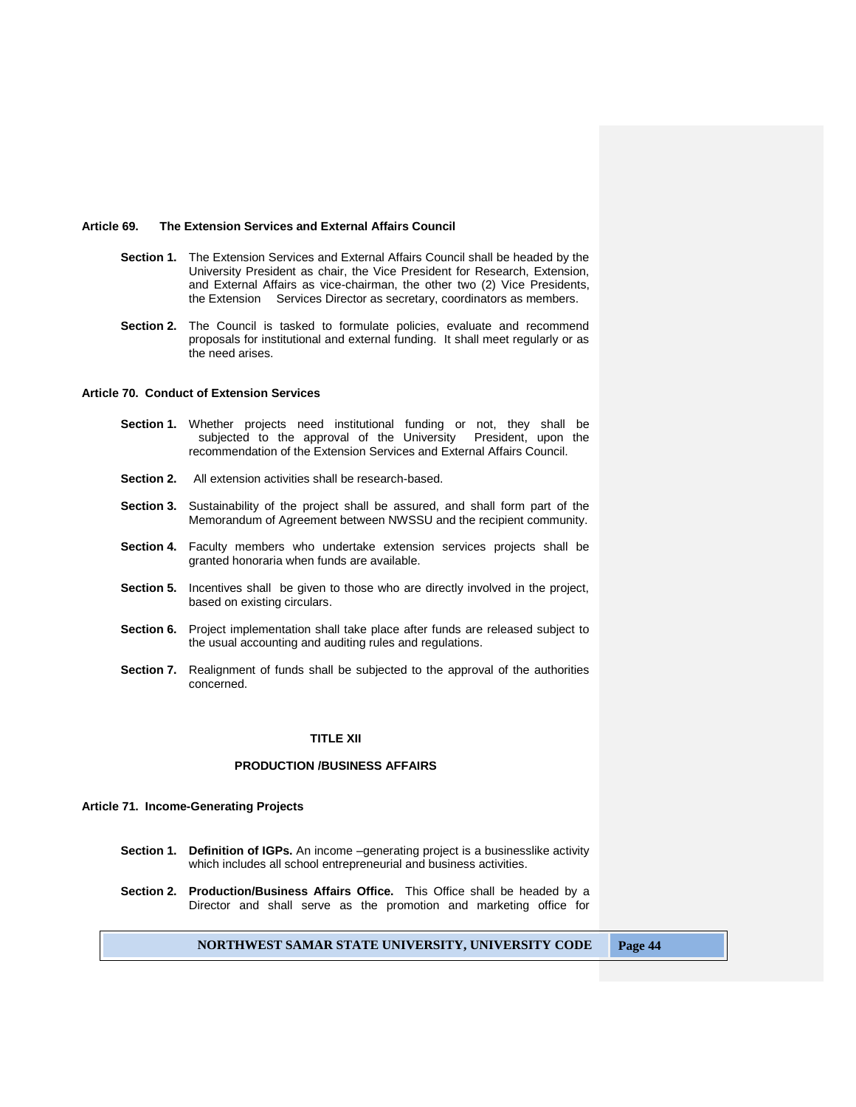#### **Article 69. The Extension Services and External Affairs Council**

- **Section 1.** The Extension Services and External Affairs Council shall be headed by the University President as chair, the Vice President for Research, Extension, and External Affairs as vice-chairman, the other two (2) Vice Presidents, the Extension Services Director as secretary, coordinators as members.
- **Section 2.** The Council is tasked to formulate policies, evaluate and recommend proposals for institutional and external funding. It shall meet regularly or as the need arises.

## **Article 70. Conduct of Extension Services**

- **Section 1.** Whether projects need institutional funding or not, they shall be subjected to the approval of the University President, upon the recommendation of the Extension Services and External Affairs Council.
- **Section 2.** All extension activities shall be research-based.
- **Section 3.** Sustainability of the project shall be assured, and shall form part of the Memorandum of Agreement between NWSSU and the recipient community.
- **Section 4.** Faculty members who undertake extension services projects shall be granted honoraria when funds are available.
- **Section 5.** Incentives shall be given to those who are directly involved in the project, based on existing circulars.
- **Section 6.** Project implementation shall take place after funds are released subject to the usual accounting and auditing rules and regulations.
- **Section 7.** Realignment of funds shall be subjected to the approval of the authorities concerned.

#### **TITLE XII**

#### **PRODUCTION /BUSINESS AFFAIRS**

#### **Article 71. Income-Generating Projects**

- **Section 1. Definition of IGPs.** An income –generating project is a businesslike activity which includes all school entrepreneurial and business activities.
- **Section 2. Production/Business Affairs Office.** This Office shall be headed by a Director and shall serve as the promotion and marketing office for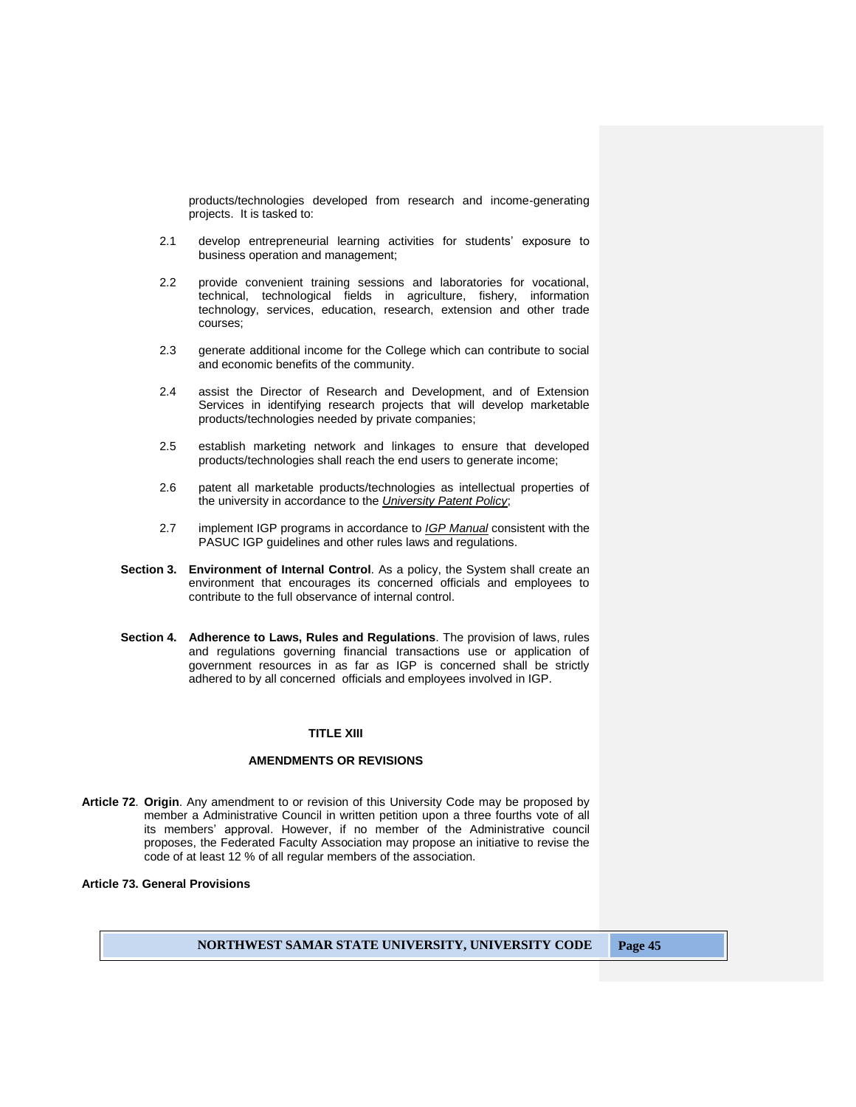products/technologies developed from research and income-generating projects. It is tasked to:

- 2.1 develop entrepreneurial learning activities for students' exposure to business operation and management;
- 2.2 provide convenient training sessions and laboratories for vocational, technical, technological fields in agriculture, fishery, information technology, services, education, research, extension and other trade courses;
- 2.3 generate additional income for the College which can contribute to social and economic benefits of the community.
- 2.4 assist the Director of Research and Development, and of Extension Services in identifying research projects that will develop marketable products/technologies needed by private companies;
- 2.5 establish marketing network and linkages to ensure that developed products/technologies shall reach the end users to generate income;
- 2.6 patent all marketable products/technologies as intellectual properties of the university in accordance to the *University Patent Policy*;
- 2.7 implement IGP programs in accordance to *IGP Manual* consistent with the PASUC IGP guidelines and other rules laws and regulations.
- **Section 3. Environment of Internal Control**. As a policy, the System shall create an environment that encourages its concerned officials and employees to contribute to the full observance of internal control.
- **Section 4. Adherence to Laws, Rules and Regulations**. The provision of laws, rules and regulations governing financial transactions use or application of government resources in as far as IGP is concerned shall be strictly adhered to by all concerned officials and employees involved in IGP.

## **TITLE XIII**

## **AMENDMENTS OR REVISIONS**

**Article 72**. **Origin**. Any amendment to or revision of this University Code may be proposed by member a Administrative Council in written petition upon a three fourths vote of all its members' approval. However, if no member of the Administrative council proposes, the Federated Faculty Association may propose an initiative to revise the code of at least 12 % of all regular members of the association.

# **Article 73. General Provisions**